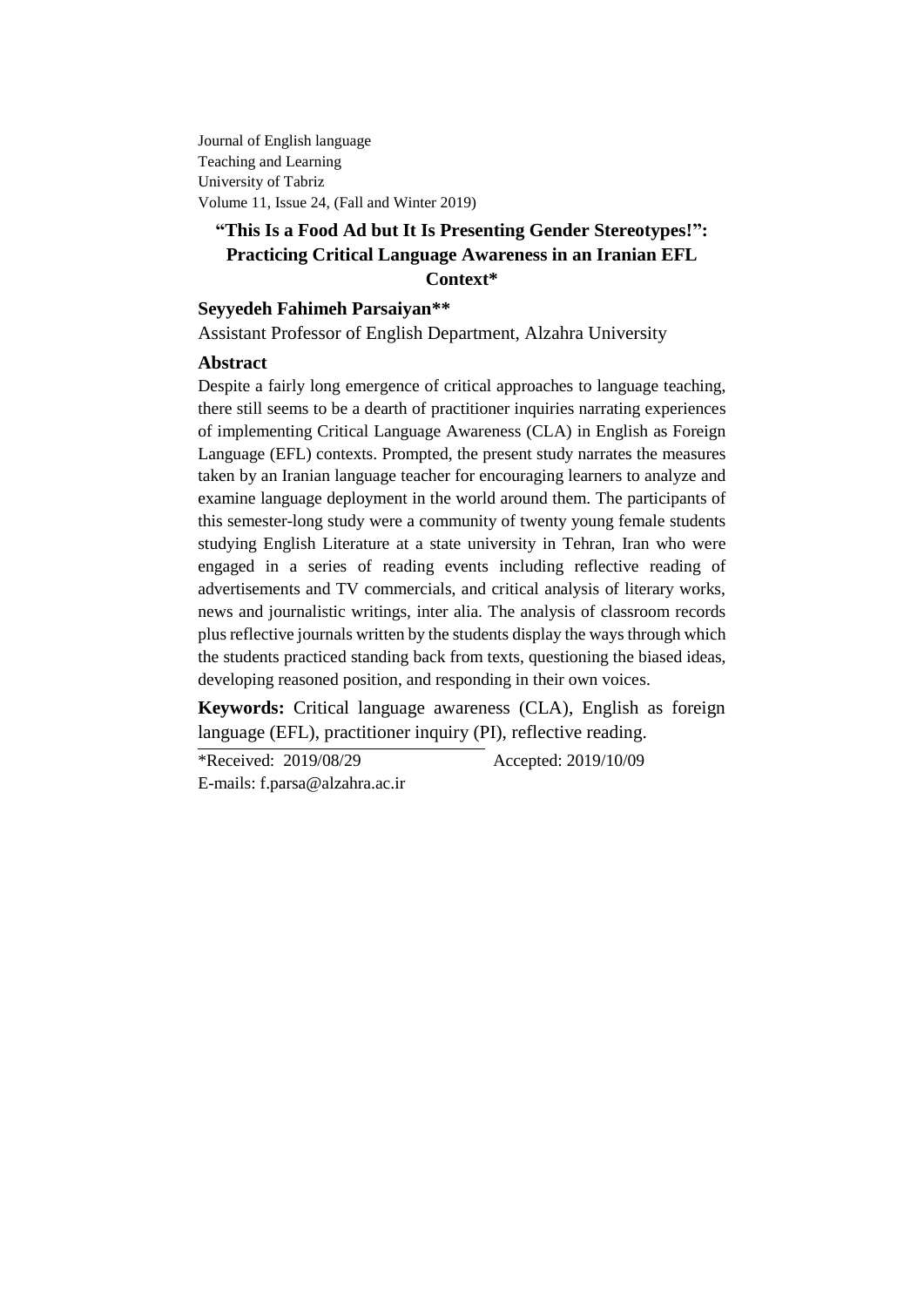Journal of English language Teaching and Learning University of Tabriz Volume 11, Issue 24, (Fall and Winter 2019)

# **"This Is a Food Ad but It Is Presenting Gender Stereotypes!": Practicing Critical Language Awareness in an Iranian EFL Context\***

# **Seyyedeh Fahimeh Parsaiyan\*\***

Assistant Professor of English Department, Alzahra University

# **Abstract**

Despite a fairly long emergence of critical approaches to language teaching, there still seems to be a dearth of practitioner inquiries narrating experiences of implementing Critical Language Awareness (CLA) in English as Foreign Language (EFL) contexts. Prompted, the present study narrates the measures taken by an Iranian language teacher for encouraging learners to analyze and examine language deployment in the world around them. The participants of this semester-long study were a community of twenty young female students studying English Literature at a state university in Tehran, Iran who were engaged in a series of reading events including reflective reading of advertisements and TV commercials, and critical analysis of literary works, news and journalistic writings, inter alia. The analysis of classroom records plus reflective journals written by the students display the ways through which the students practiced standing back from texts, questioning the biased ideas, developing reasoned position, and responding in their own voices.

**Keywords:** Critical language awareness (CLA), English as foreign language (EFL), practitioner inquiry (PI), reflective reading.

\*Received: 2019/08/29 Accepted: 2019/10/09 E-mails: [f.parsa@alzahra.ac.ir](mailto:f.parsa@alzahra.ac.ir)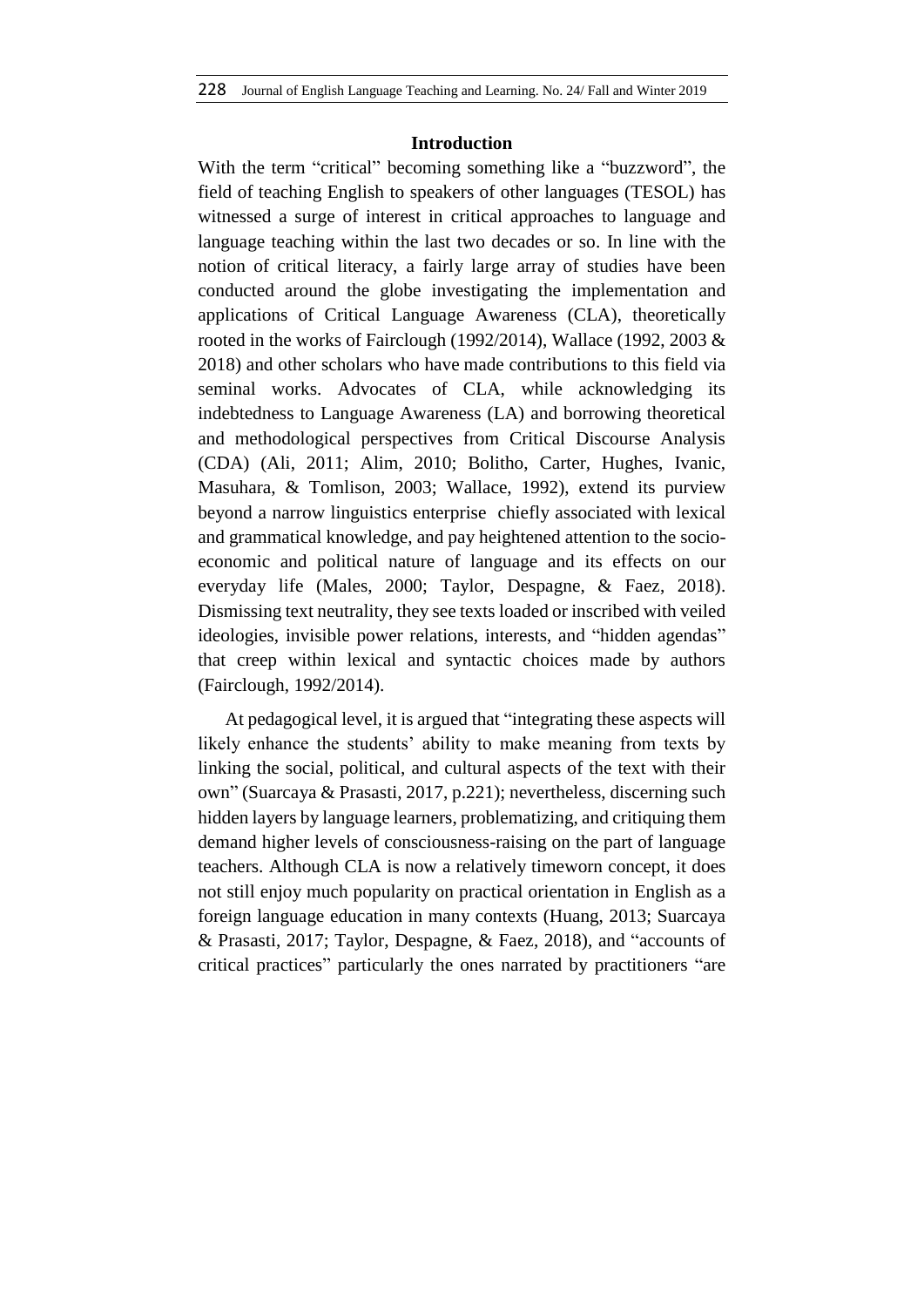### **Introduction**

With the term "critical" becoming something like a "buzzword", the field of teaching English to speakers of other languages (TESOL) has witnessed a surge of interest in critical approaches to language and language teaching within the last two decades or so. In line with the notion of critical literacy, a fairly large array of studies have been conducted around the globe investigating the implementation and applications of Critical Language Awareness (CLA), theoretically rooted in the works of Fairclough (1992/2014), Wallace (1992, 2003 & 2018) and other scholars who have made contributions to this field via seminal works. Advocates of CLA, while acknowledging its indebtedness to Language Awareness (LA) and borrowing theoretical and methodological perspectives from Critical Discourse Analysis (CDA) (Ali, 2011; Alim, 2010; Bolitho, Carter, Hughes, Ivanic, Masuhara, & Tomlison, 2003; Wallace, 1992), extend its purview beyond a narrow linguistics enterprise chiefly associated with lexical and grammatical knowledge, and pay heightened attention to the socioeconomic and political nature of language and its effects on our everyday life (Males, 2000; Taylor, Despagne, & Faez, 2018). Dismissing text neutrality, they see texts loaded or inscribed with veiled ideologies, invisible power relations, interests, and "hidden agendas" that creep within lexical and syntactic choices made by authors (Fairclough, 1992/2014).

At pedagogical level, it is argued that "integrating these aspects will likely enhance the students' ability to make meaning from texts by linking the social, political, and cultural aspects of the text with their own" (Suarcaya & Prasasti, 2017, p.221); nevertheless, discerning such hidden layers by language learners, problematizing, and critiquing them demand higher levels of consciousness-raising on the part of language teachers. Although CLA is now a relatively timeworn concept, it does not still enjoy much popularity on practical orientation in English as a foreign language education in many contexts (Huang, 2013; Suarcaya & Prasasti, 2017; Taylor, Despagne, & Faez, 2018), and "accounts of critical practices" particularly the ones narrated by practitioners "are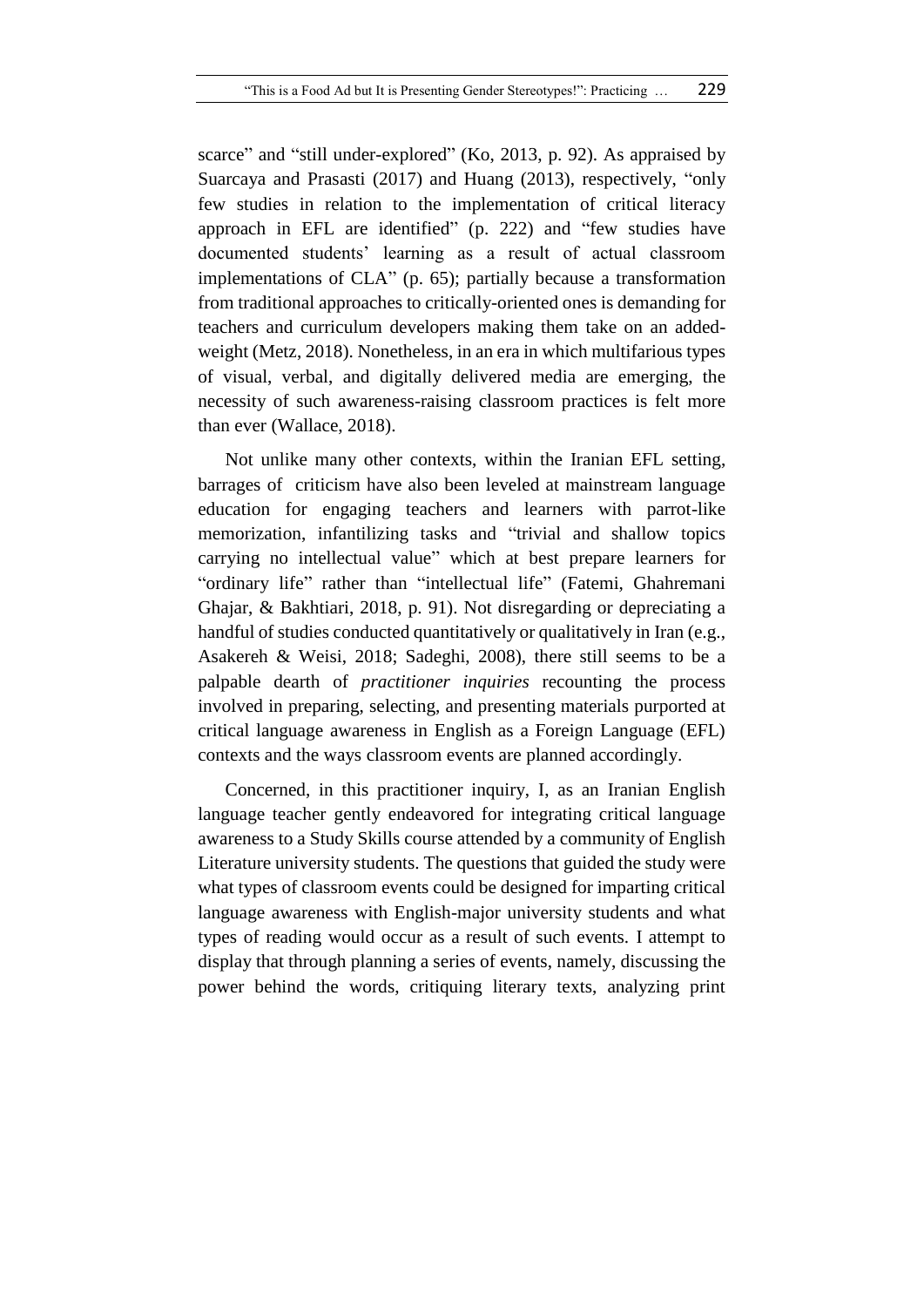scarce" and "still under-explored" (Ko, 2013, p. 92). As appraised by Suarcaya and Prasasti (2017) and Huang (2013), respectively, "only few studies in relation to the implementation of critical literacy approach in EFL are identified" (p. 222) and "few studies have documented students' learning as a result of actual classroom implementations of CLA" (p. 65); partially because a transformation from traditional approaches to critically-oriented ones is demanding for teachers and curriculum developers making them take on an addedweight (Metz, 2018). Nonetheless, in an era in which multifarious types of visual, verbal, and digitally delivered media are emerging, the necessity of such awareness-raising classroom practices is felt more than ever (Wallace, 2018).

Not unlike many other contexts, within the Iranian EFL setting, barrages ofcriticism have also been leveled at mainstream language education for engaging teachers and learners with parrot-like memorization, infantilizing tasks and "trivial and shallow topics carrying no intellectual value" which at best prepare learners for "ordinary life" rather than "intellectual life" (Fatemi, Ghahremani Ghajar, & Bakhtiari, 2018, p. 91). Not disregarding or depreciating a handful of studies conducted quantitatively or qualitatively in Iran (e.g., Asakereh & Weisi, 2018; Sadeghi, 2008), there still seems to be a palpable dearth of *practitioner inquiries* recounting the process involved in preparing, selecting, and presenting materials purported at critical language awareness in English as a Foreign Language (EFL) contexts and the ways classroom events are planned accordingly.

Concerned, in this practitioner inquiry, I, as an Iranian English language teacher gently endeavored for integrating critical language awareness to a Study Skills course attended by a community of English Literature university students. The questions that guided the study were what types of classroom events could be designed for imparting critical language awareness with English-major university students and what types of reading would occur as a result of such events. I attempt to display that through planning a series of events, namely, discussing the power behind the words, critiquing literary texts, analyzing print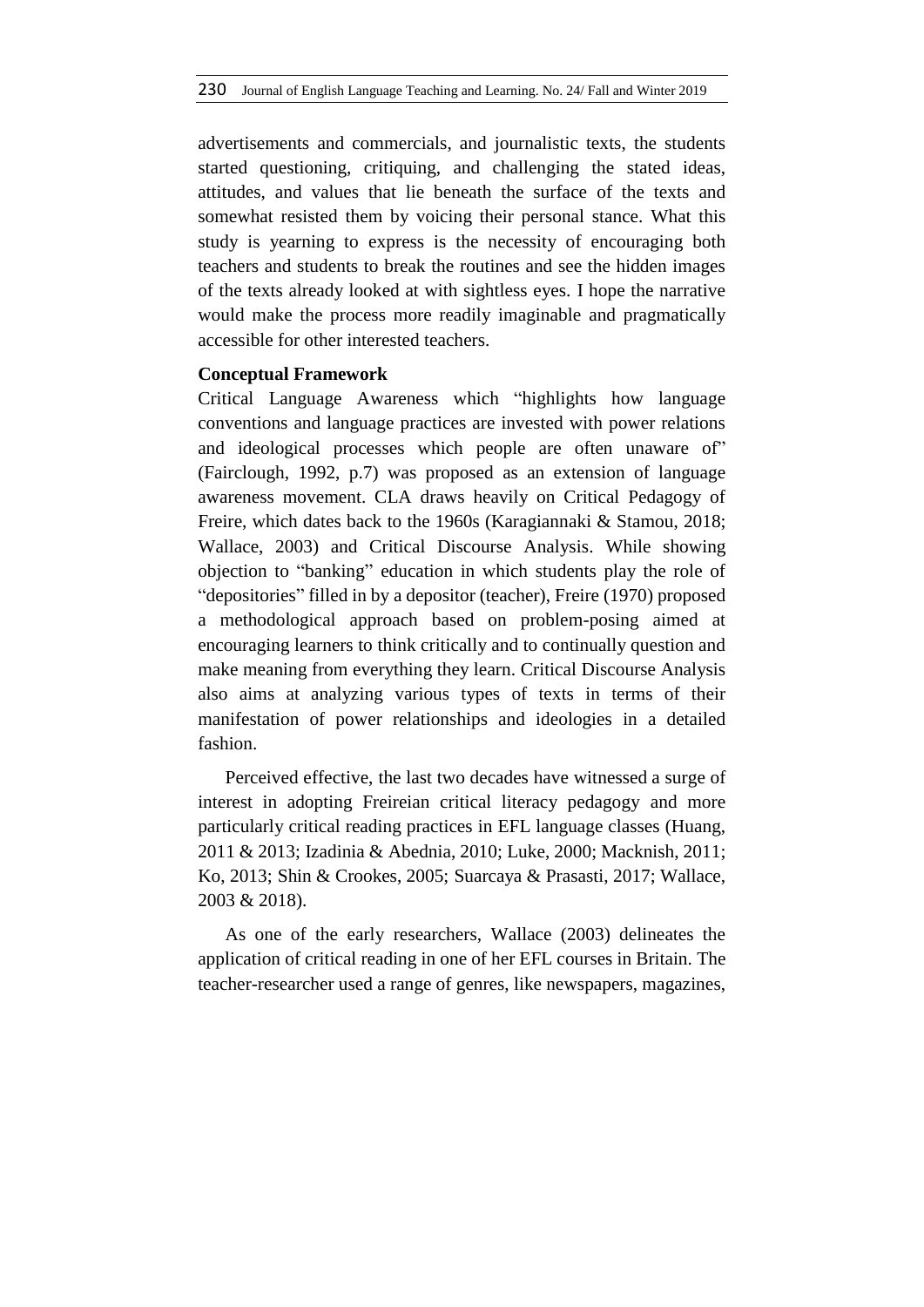advertisements and commercials, and journalistic texts, the students started questioning, critiquing, and challenging the stated ideas, attitudes, and values that lie beneath the surface of the texts and somewhat resisted them by voicing their personal stance. What this study is yearning to express is the necessity of encouraging both teachers and students to break the routines and see the hidden images of the texts already looked at with sightless eyes. I hope the narrative would make the process more readily imaginable and pragmatically accessible for other interested teachers.

# **Conceptual Framework**

Critical Language Awareness which "highlights how language conventions and language practices are invested with power relations and ideological processes which people are often unaware of" (Fairclough, 1992, p.7) was proposed as an extension of language awareness movement. CLA draws heavily on Critical Pedagogy of Freire, which dates back to the 1960s (Karagiannaki & Stamou, 2018; Wallace, 2003) and Critical Discourse Analysis. While showing objection to "banking" education in which students play the role of "depositories" filled in by a depositor (teacher), Freire (1970) proposed a methodological approach based on problem-posing aimed at encouraging learners to think critically and to continually question and make meaning from everything they learn. Critical Discourse Analysis also aims at analyzing various types of texts in terms of their manifestation of power relationships and ideologies in a detailed fashion.

Perceived effective, the last two decades have witnessed a surge of interest in adopting Freireian critical literacy pedagogy and more particularly critical reading practices in EFL language classes (Huang, 2011 & 2013; Izadinia & Abednia, 2010; Luke, 2000; Macknish, 2011; Ko, 2013; Shin & Crookes, 2005; Suarcaya & Prasasti, 2017; Wallace, 2003 & 2018).

As one of the early researchers, Wallace (2003) delineates the application of critical reading in one of her EFL courses in Britain. The teacher-researcher used a range of genres, like newspapers, magazines,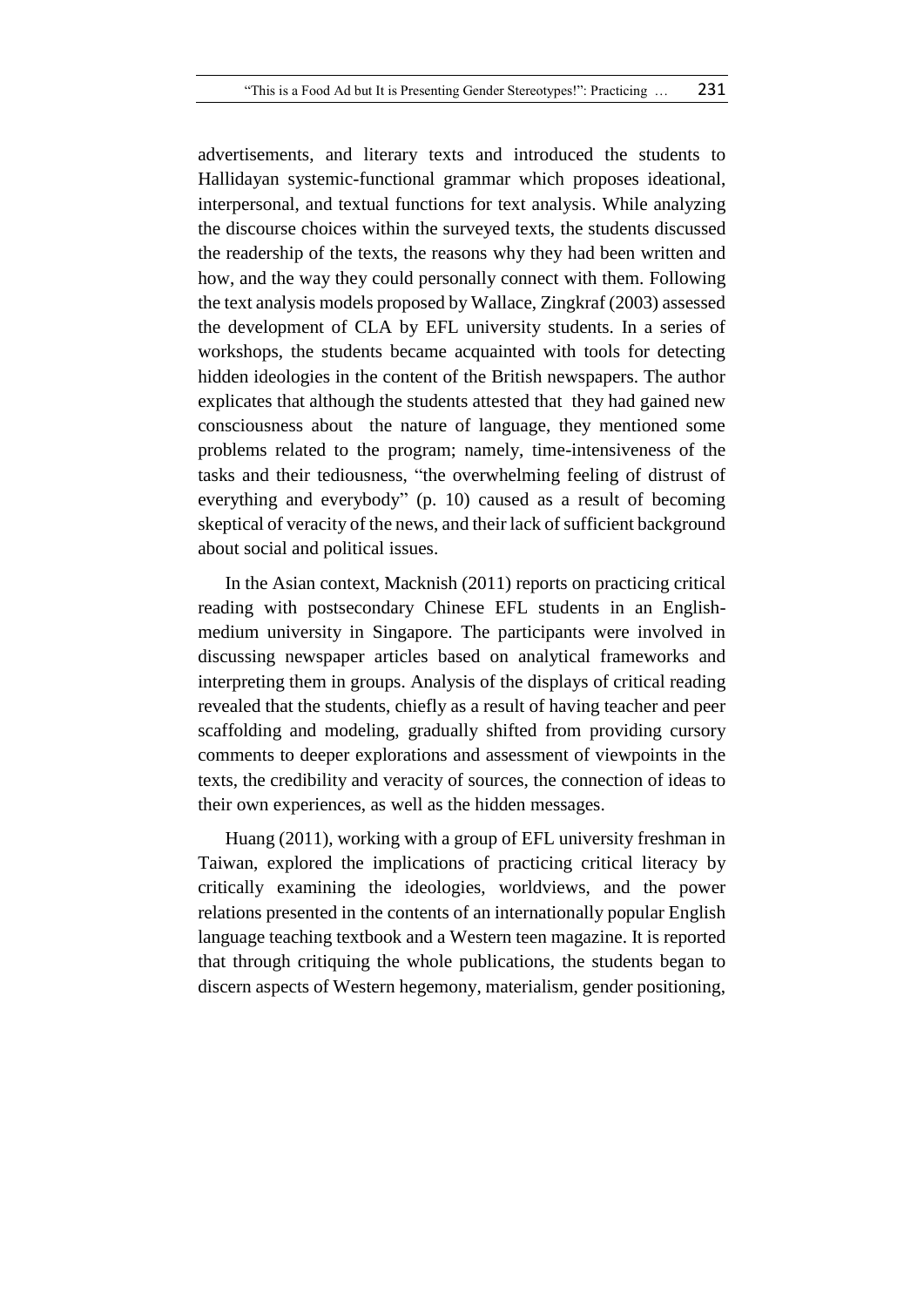advertisements, and literary texts and introduced the students to Hallidayan systemic-functional grammar which proposes ideational, interpersonal, and textual functions for text analysis. While analyzing the discourse choices within the surveyed texts, the students discussed the readership of the texts, the reasons why they had been written and how, and the way they could personally connect with them. Following the text analysis models proposed by Wallace, Zingkraf (2003) assessed the development of CLA by EFL university students. In a series of workshops, the students became acquainted with tools for detecting hidden ideologies in the content of the British newspapers. The author explicates that although the students attested that they had gained new consciousness about the nature of language, they mentioned some problems related to the program; namely, time-intensiveness of the tasks and their tediousness, "the overwhelming feeling of distrust of everything and everybody" (p. 10) caused as a result of becoming skeptical of veracity of the news, and their lack of sufficient background about social and political issues.

In the Asian context, Macknish (2011) reports on practicing critical reading with postsecondary Chinese EFL students in an Englishmedium university in Singapore. The participants were involved in discussing newspaper articles based on analytical frameworks and interpreting them in groups. Analysis of the displays of critical reading revealed that the students, chiefly as a result of having teacher and peer scaffolding and modeling, gradually shifted from providing cursory comments to deeper explorations and assessment of viewpoints in the texts, the credibility and veracity of sources, the connection of ideas to their own experiences, as well as the hidden messages.

Huang (2011), working with a group of EFL university freshman in Taiwan, explored the implications of practicing critical literacy by critically examining the ideologies, worldviews, and the power relations presented in the contents of an internationally popular English language teaching textbook and a Western teen magazine. It is reported that through critiquing the whole publications, the students began to discern aspects of Western hegemony, materialism, gender positioning,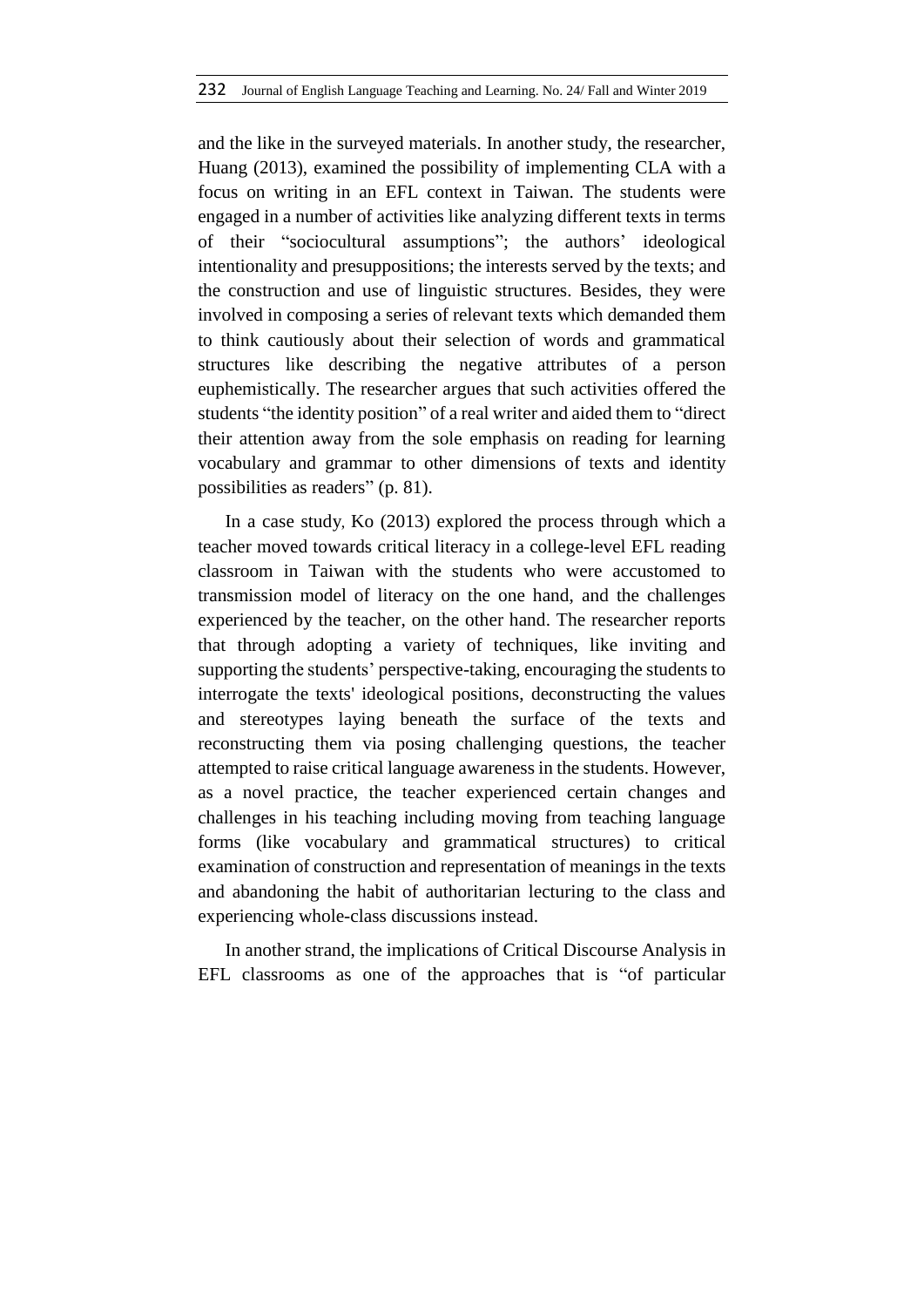and the like in the surveyed materials. In another study, the researcher, Huang (2013), examined the possibility of implementing CLA with a focus on writing in an EFL context in Taiwan. The students were engaged in a number of activities like analyzing different texts in terms of their "sociocultural assumptions"; the authors' ideological intentionality and presuppositions; the interests served by the texts; and the construction and use of linguistic structures. Besides, they were involved in composing a series of relevant texts which demanded them to think cautiously about their selection of words and grammatical structures like describing the negative attributes of a person euphemistically. The researcher argues that such activities offered the students "the identity position" of a real writer and aided them to "direct their attention away from the sole emphasis on reading for learning vocabulary and grammar to other dimensions of texts and identity possibilities as readers" (p. 81).

In a case study, Ko (2013) explored the process through which a teacher moved towards critical literacy in a college-level EFL reading classroom in Taiwan with the students who were accustomed to transmission model of literacy on the one hand, and the challenges experienced by the teacher, on the other hand. The researcher reports that through adopting a variety of techniques, like inviting and supporting the students' perspective-taking, encouraging the students to interrogate the texts' ideological positions, deconstructing the values and stereotypes laying beneath the surface of the texts and reconstructing them via posing challenging questions, the teacher attempted to raise critical language awareness in the students. However, as a novel practice, the teacher experienced certain changes and challenges in his teaching including moving from teaching language forms (like vocabulary and grammatical structures) to critical examination of construction and representation of meanings in the texts and abandoning the habit of authoritarian lecturing to the class and experiencing whole-class discussions instead.

In another strand, the implications of Critical Discourse Analysis in EFL classrooms as one of the approaches that is "of particular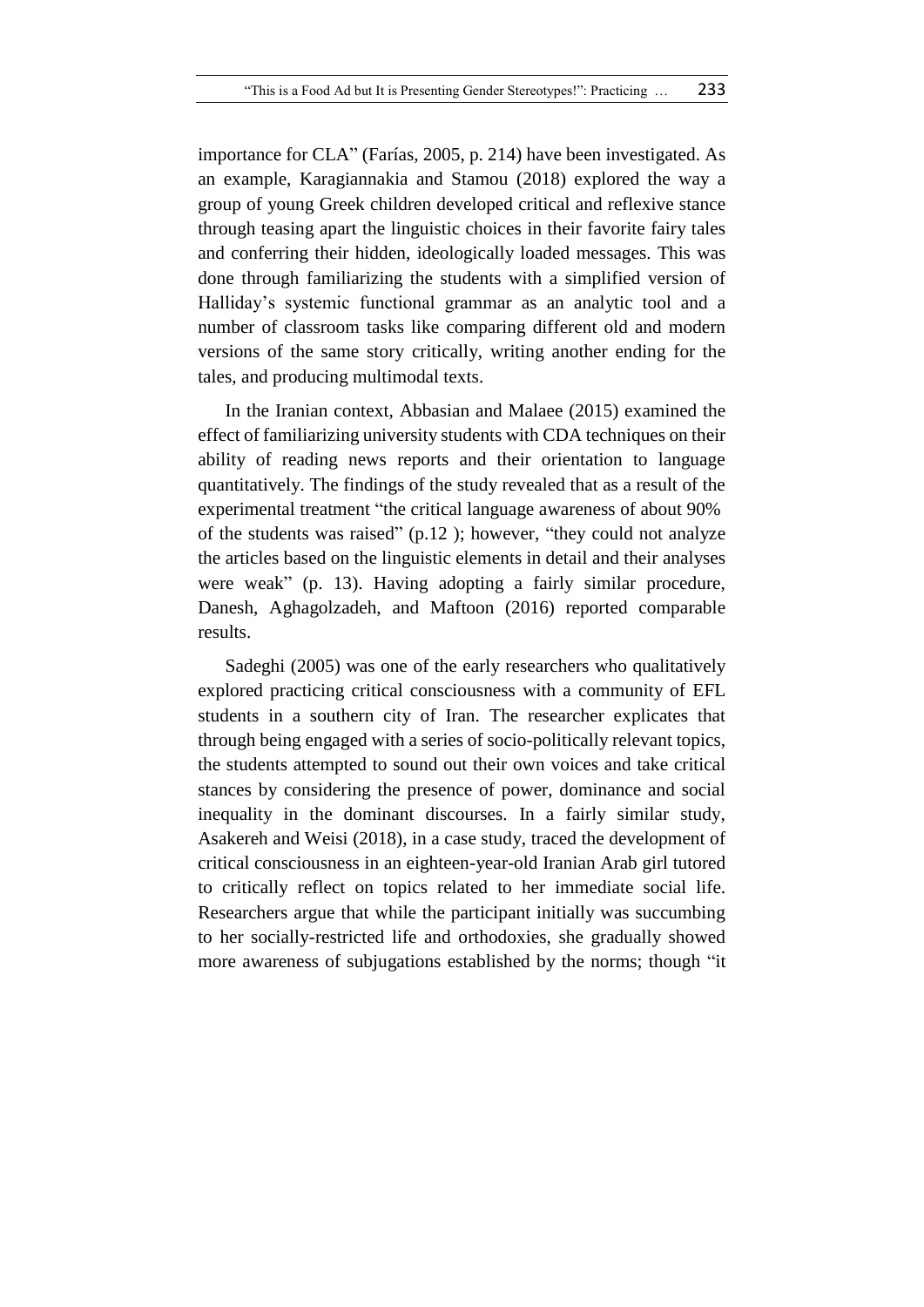importance for CLA" (Farías, 2005, p. 214) have been investigated. As an example, Karagiannakia and Stamou (2018) explored the way a group of young Greek children developed critical and reflexive stance through teasing apart the linguistic choices in their favorite fairy tales and conferring their hidden, ideologically loaded messages. This was done through familiarizing the students with a simplified version of Halliday's systemic functional grammar as an analytic tool and a number of classroom tasks like comparing different old and modern versions of the same story critically, writing another ending for the tales, and producing multimodal texts.

In the Iranian context, Abbasian and Malaee (2015) examined the effect of familiarizing university students with CDA techniques on their ability of reading news reports and their orientation to language quantitatively. The findings of the study revealed that as a result of the experimental treatment "the critical language awareness of about 90% of the students was raised" (p.12 ); however, "they could not analyze the articles based on the linguistic elements in detail and their analyses were weak" (p. 13). Having adopting a fairly similar procedure, Danesh, Aghagolzadeh, and Maftoon (2016) reported comparable results.

Sadeghi (2005) was one of the early researchers who qualitatively explored practicing critical consciousness with a community of EFL students in a southern city of Iran. The researcher explicates that through being engaged with a series of socio-politically relevant topics, the students attempted to sound out their own voices and take critical stances by considering the presence of power, dominance and social inequality in the dominant discourses. In a fairly similar study, Asakereh and Weisi (2018), in a case study, traced the development of critical consciousness in an eighteen-year-old Iranian Arab girl tutored to critically reflect on topics related to her immediate social life. Researchers argue that while the participant initially was succumbing to her socially-restricted life and orthodoxies, she gradually showed more awareness of subjugations established by the norms; though "it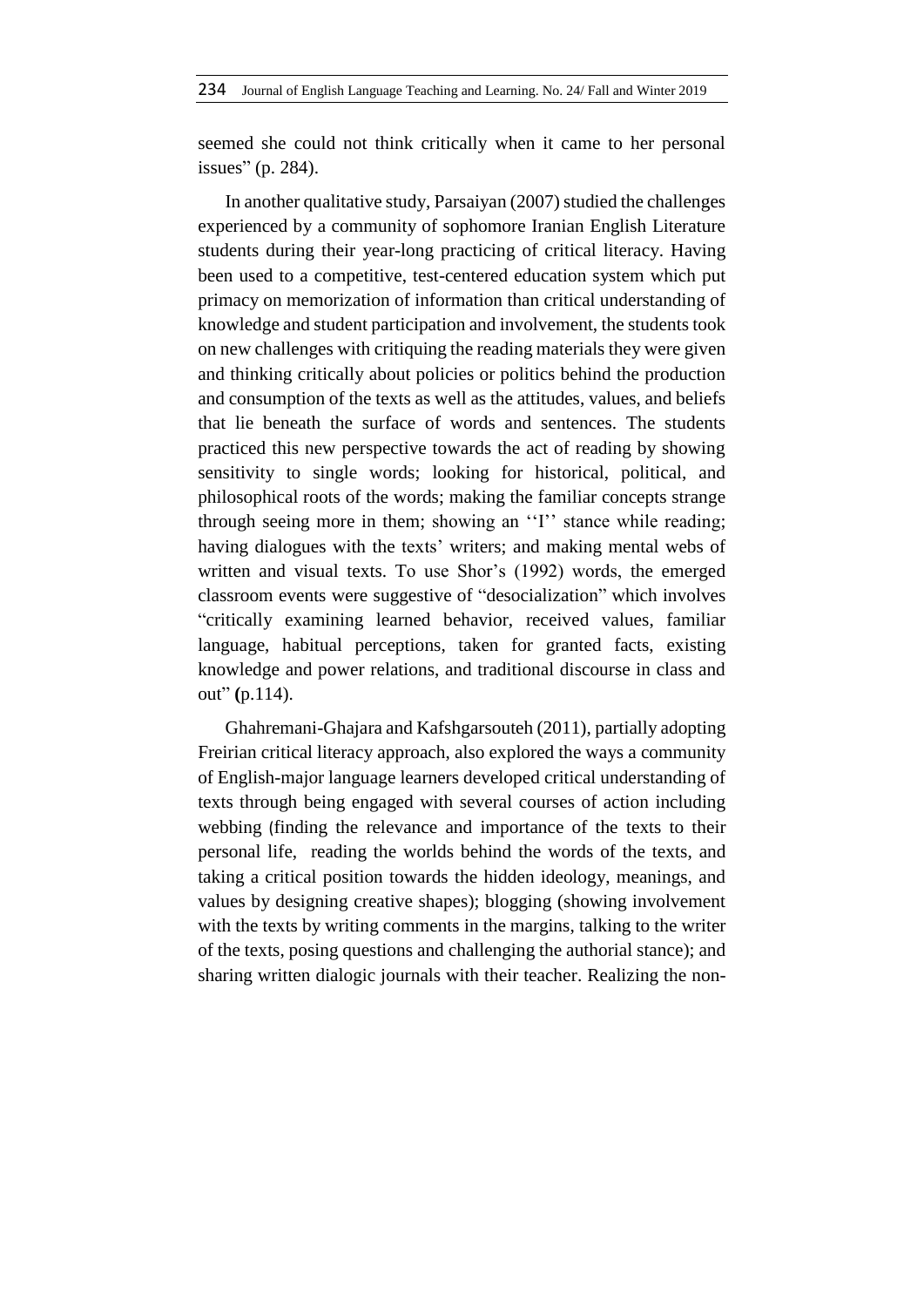seemed she could not think critically when it came to her personal issues" (p. 284).

In another qualitative study, Parsaiyan (2007) studied the challenges experienced by a community of sophomore Iranian English Literature students during their year-long practicing of critical literacy. Having been used to a competitive, test-centered education system which put primacy on memorization of information than critical understanding of knowledge and student participation and involvement, the students took on new challenges with critiquing the reading materials they were given and thinking critically about policies or politics behind the production and consumption of the texts as well as the attitudes, values, and beliefs that lie beneath the surface of words and sentences. The students practiced this new perspective towards the act of reading by showing sensitivity to single words; looking for historical, political, and philosophical roots of the words; making the familiar concepts strange through seeing more in them; showing an ''I'' stance while reading; having dialogues with the texts' writers; and making mental webs of written and visual texts. To use Shor's (1992) words, the emerged classroom events were suggestive of "desocialization" which involves "critically examining learned behavior, received values, familiar language, habitual perceptions, taken for granted facts, existing knowledge and power relations, and traditional discourse in class and out" **(**p.114).

Ghahremani-Ghajara and Kafshgarsouteh (2011), partially adopting Freirian critical literacy approach, also explored the ways a community of English-major language learners developed critical understanding of texts through being engaged with several courses of action including webbing (finding the relevance and importance of the texts to their personal life, reading the worlds behind the words of the texts, and taking a critical position towards the hidden ideology, meanings, and values by designing creative shapes); blogging (showing involvement with the texts by writing comments in the margins, talking to the writer of the texts, posing questions and challenging the authorial stance); and sharing written dialogic journals with their teacher. Realizing the non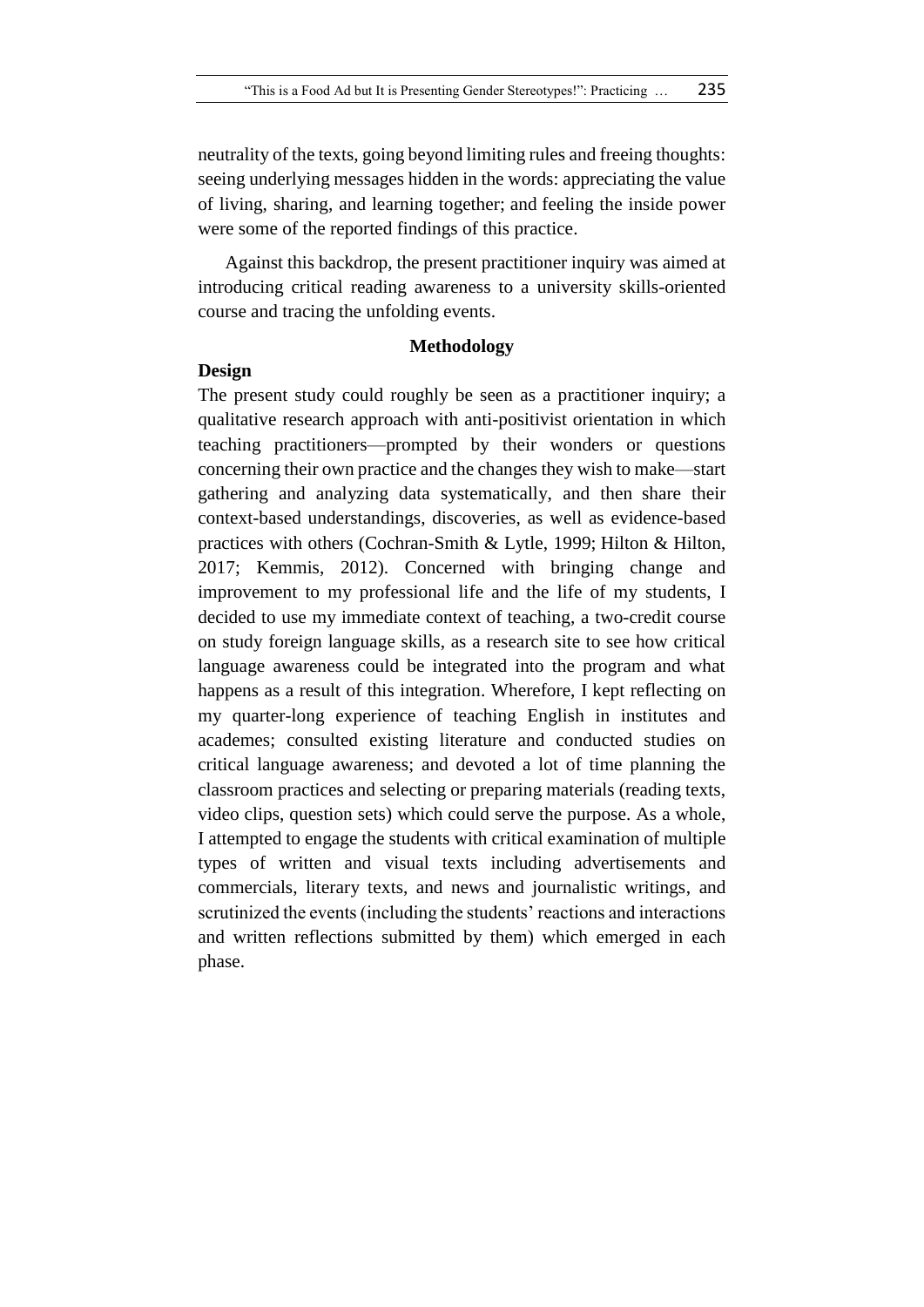neutrality of the texts, going beyond limiting rules and freeing thoughts: seeing underlying messages hidden in the words: appreciating the value of living, sharing, and learning together; and feeling the inside power were some of the reported findings of this practice.

Against this backdrop, the present practitioner inquiry was aimed at introducing critical reading awareness to a university skills-oriented course and tracing the unfolding events.

### **Methodology**

#### **Design**

The present study could roughly be seen as a practitioner inquiry; a qualitative research approach with anti-positivist orientation in which teaching practitioners—prompted by their wonders or questions concerning their own practice and the changes they wish to make—start gathering and analyzing data systematically, and then share their context-based understandings, discoveries, as well as evidence-based practices with others (Cochran-Smith & Lytle, 1999; Hilton & Hilton, 2017; Kemmis, 2012). Concerned with bringing change and improvement to my professional life and the life of my students, I decided to use my immediate context of teaching, a two-credit course on study foreign language skills, as a research site to see how critical language awareness could be integrated into the program and what happens as a result of this integration. Wherefore, I kept reflecting on my quarter-long experience of teaching English in institutes and academes; consulted existing literature and conducted studies on critical language awareness; and devoted a lot of time planning the classroom practices and selecting or preparing materials (reading texts, video clips, question sets) which could serve the purpose. As a whole, I attempted to engage the students with critical examination of multiple types of written and visual texts including advertisements and commercials, literary texts, and news and journalistic writings, and scrutinized the events (including the students' reactions and interactions and written reflections submitted by them) which emerged in each phase.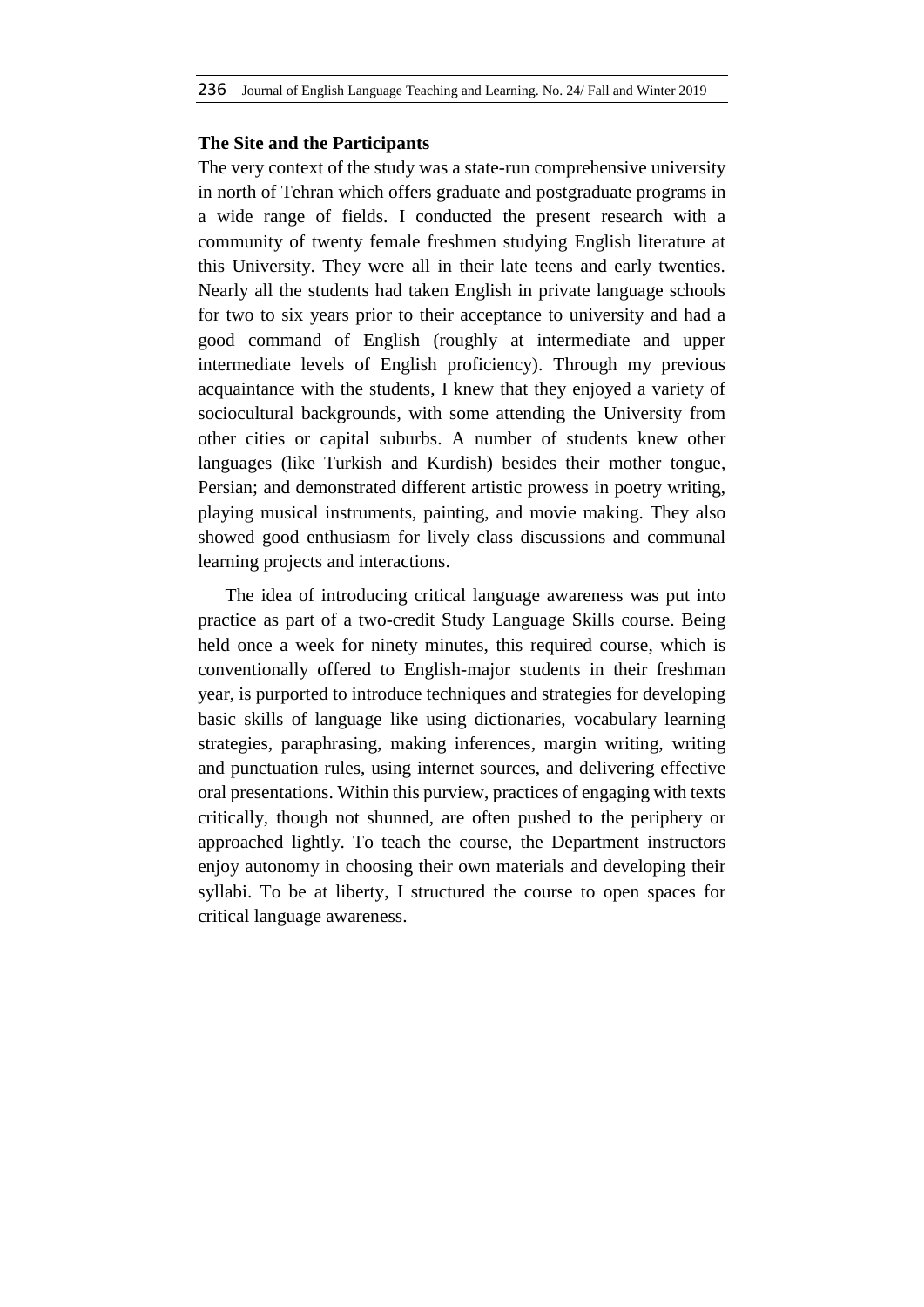# **The Site and the Participants**

The very context of the study was a state-run comprehensive university in north of Tehran which offers graduate and postgraduate programs in a wide range of fields. I conducted the present research with a community of twenty female freshmen studying English literature at this University. They were all in their late teens and early twenties. Nearly all the students had taken English in private language schools for two to six years prior to their acceptance to university and had a good command of English (roughly at intermediate and upper intermediate levels of English proficiency). Through my previous acquaintance with the students, I knew that they enjoyed a variety of sociocultural backgrounds, with some attending the University from other cities or capital suburbs. A number of students knew other languages (like Turkish and Kurdish) besides their mother tongue, Persian; and demonstrated different artistic prowess in poetry writing, playing musical instruments, painting, and movie making. They also showed good enthusiasm for lively class discussions and communal learning projects and interactions.

The idea of introducing critical language awareness was put into practice as part of a two-credit Study Language Skills course. Being held once a week for ninety minutes, this required course, which is conventionally offered to English-major students in their freshman year, is purported to introduce techniques and strategies for developing basic skills of language like using dictionaries, vocabulary learning strategies, paraphrasing, making inferences, margin writing, writing and punctuation rules, using internet sources, and delivering effective oral presentations. Within this purview, practices of engaging with texts critically, though not shunned, are often pushed to the periphery or approached lightly. To teach the course, the Department instructors enjoy autonomy in choosing their own materials and developing their syllabi. To be at liberty, I structured the course to open spaces for critical language awareness.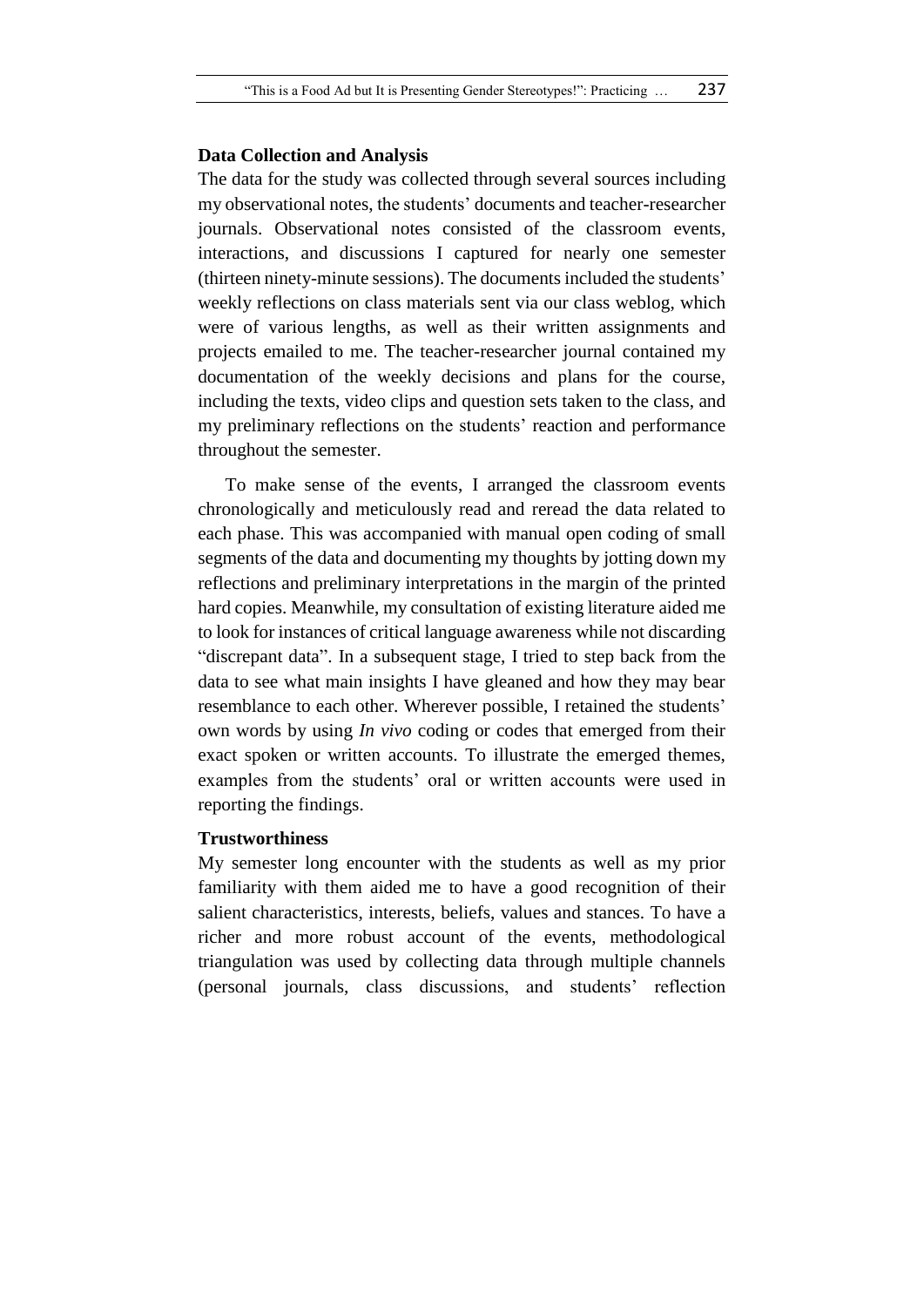#### **Data Collection and Analysis**

The data for the study was collected through several sources including my observational notes, the students' documents and teacher-researcher journals. Observational notes consisted of the classroom events, interactions, and discussions I captured for nearly one semester (thirteen ninety-minute sessions). The documents included the students' weekly reflections on class materials sent via our class weblog, which were of various lengths, as well as their written assignments and projects emailed to me. The teacher-researcher journal contained my documentation of the weekly decisions and plans for the course, including the texts, video clips and question sets taken to the class, and my preliminary reflections on the students' reaction and performance throughout the semester.

To make sense of the events, I arranged the classroom events chronologically and meticulously read and reread the data related to each phase. This was accompanied with manual open coding of small segments of the data and documenting my thoughts by jotting down my reflections and preliminary interpretations in the margin of the printed hard copies. Meanwhile, my consultation of existing literature aided me to look for instances of critical language awareness while not discarding "discrepant data". In a subsequent stage, I tried to step back from the data to see what main insights I have gleaned and how they may bear resemblance to each other. Wherever possible, I retained the students' own words by using *In vivo* coding or codes that emerged from their exact spoken or written accounts. To illustrate the emerged themes, examples from the students' oral or written accounts were used in reporting the findings.

#### **Trustworthiness**

My semester long encounter with the students as well as my prior familiarity with them aided me to have a good recognition of their salient characteristics, interests, beliefs, values and stances. To have a richer and more robust account of the events, methodological triangulation was used by collecting data through multiple channels (personal journals, class discussions, and students' reflection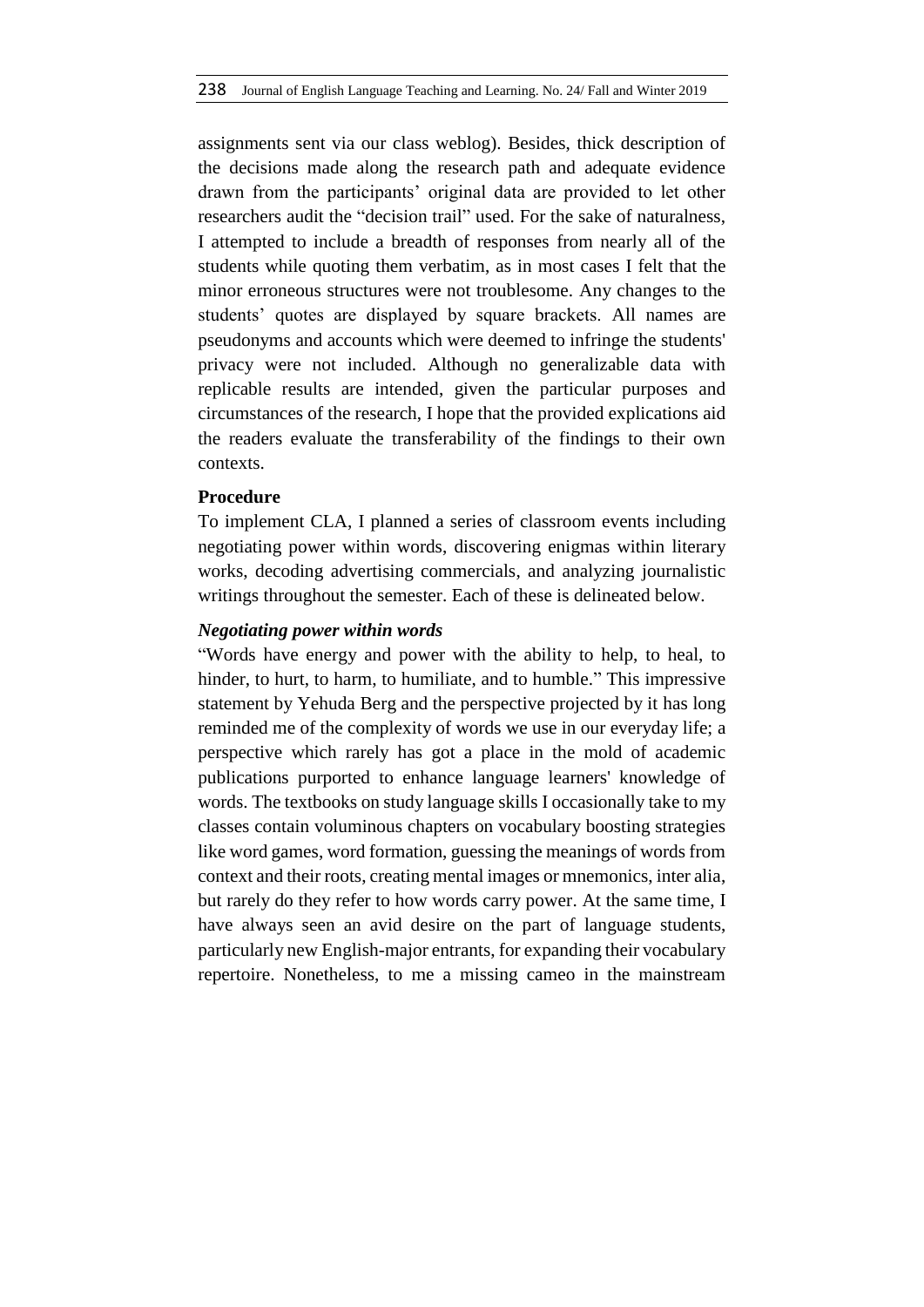assignments sent via our class weblog). Besides, thick description of the decisions made along the research path and adequate evidence drawn from the participants' original data are provided to let other researchers audit the "decision trail" used. For the sake of naturalness, I attempted to include a breadth of responses from nearly all of the students while quoting them verbatim, as in most cases I felt that the minor erroneous structures were not troublesome. Any changes to the students' quotes are displayed by square brackets. All names are pseudonyms and accounts which were deemed to infringe the students' privacy were not included. Although no generalizable data with replicable results are intended, given the particular purposes and circumstances of the research, I hope that the provided explications aid the readers evaluate the transferability of the findings to their own contexts.

# **Procedure**

To implement CLA, I planned a series of classroom events including negotiating power within words, discovering enigmas within literary works, decoding advertising commercials, and analyzing journalistic writings throughout the semester. Each of these is delineated below.

# *Negotiating power within words*

"Words have energy and power with the ability to help, to heal, to hinder, to hurt, to harm, to humiliate, and to humble." This impressive statement by Yehuda Berg and the perspective projected by it has long reminded me of the complexity of words we use in our everyday life; a perspective which rarely has got a place in the mold of academic publications purported to enhance language learners' knowledge of words. The textbooks on study language skills I occasionally take to my classes contain voluminous chapters on vocabulary boosting strategies like word games, word formation, guessing the meanings of words from context and their roots, creating mental images or mnemonics, inter alia, but rarely do they refer to how words carry power. At the same time, I have always seen an avid desire on the part of language students, particularly new English-major entrants, for expanding their vocabulary repertoire. Nonetheless, to me a missing cameo in the mainstream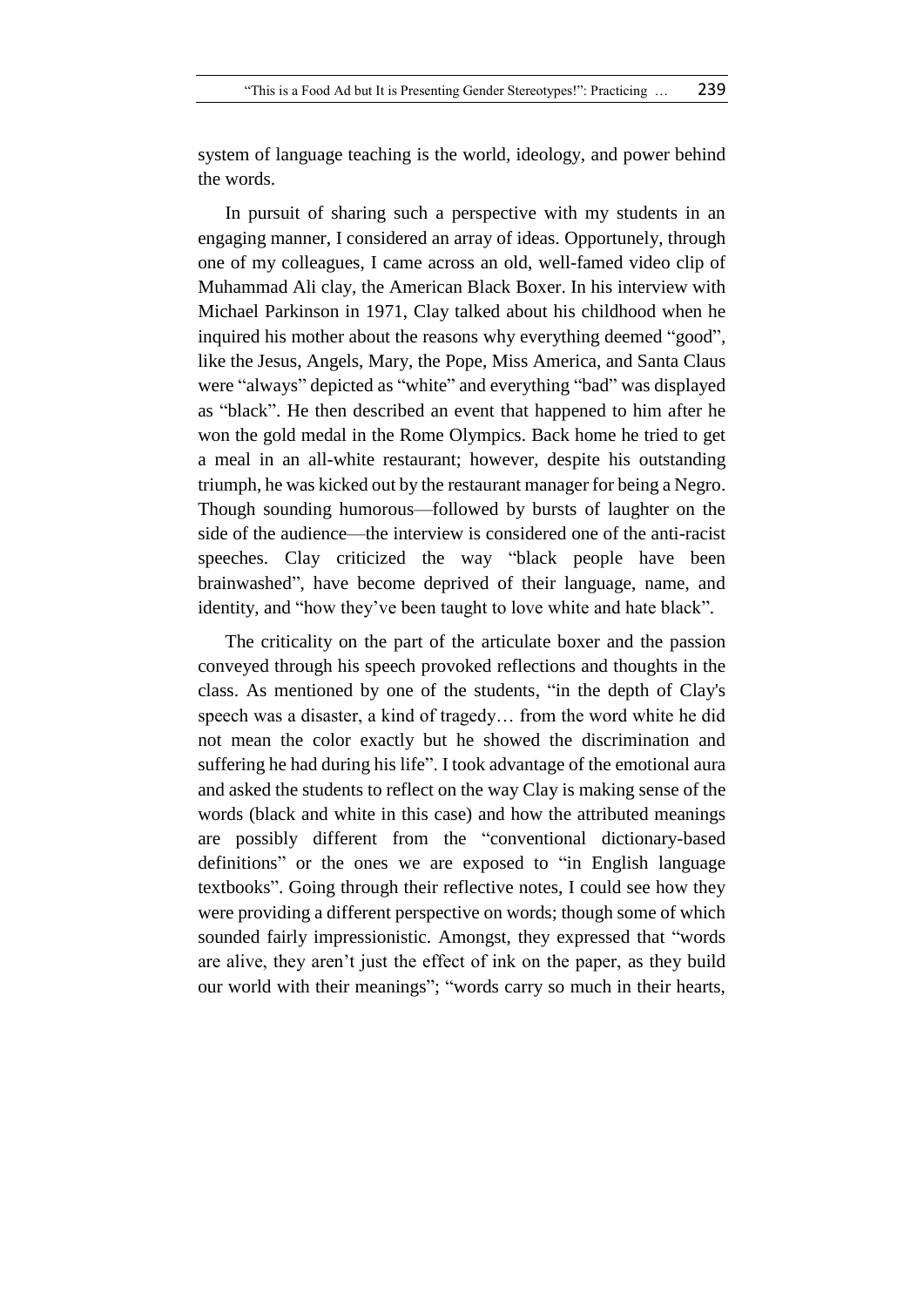system of language teaching is the world, ideology, and power behind the words.

In pursuit of sharing such a perspective with my students in an engaging manner, I considered an array of ideas. Opportunely, through one of my colleagues, I came across an old, well-famed video clip of Muhammad Ali clay, the American Black Boxer. In his interview with Michael Parkinson in 1971, Clay talked about his childhood when he inquired his mother about the reasons why everything deemed "good", like the Jesus, Angels, Mary, the Pope, Miss America, and Santa Claus were "always" depicted as "white" and everything "bad" was displayed as "black". He then described an event that happened to him after he won the gold medal in the Rome Olympics. Back home he tried to get a meal in an all-white restaurant; however, despite his outstanding triumph, he was kicked out by the restaurant manager for being a Negro. Though sounding humorous—followed by bursts of laughter on the side of the audience—the interview is considered one of the anti-racist speeches. Clay criticized the way "black people have been brainwashed", have become deprived of their language, name, and identity, and "how they've been taught to love white and hate black".

The criticality on the part of the articulate boxer and the passion conveyed through his speech provoked reflections and thoughts in the class. As mentioned by one of the students, "in the depth of Clay's speech was a disaster, a kind of tragedy… from the word white he did not mean the color exactly but he showed the discrimination and suffering he had during his life". I took advantage of the emotional aura and asked the students to reflect on the way Clay is making sense of the words (black and white in this case) and how the attributed meanings are possibly different from the "conventional dictionary-based definitions" or the ones we are exposed to "in English language textbooks". Going through their reflective notes, I could see how they were providing a different perspective on words; though some of which sounded fairly impressionistic. Amongst, they expressed that "words are alive, they aren't just the effect of ink on the paper, as they build our world with their meanings"; "words carry so much in their hearts,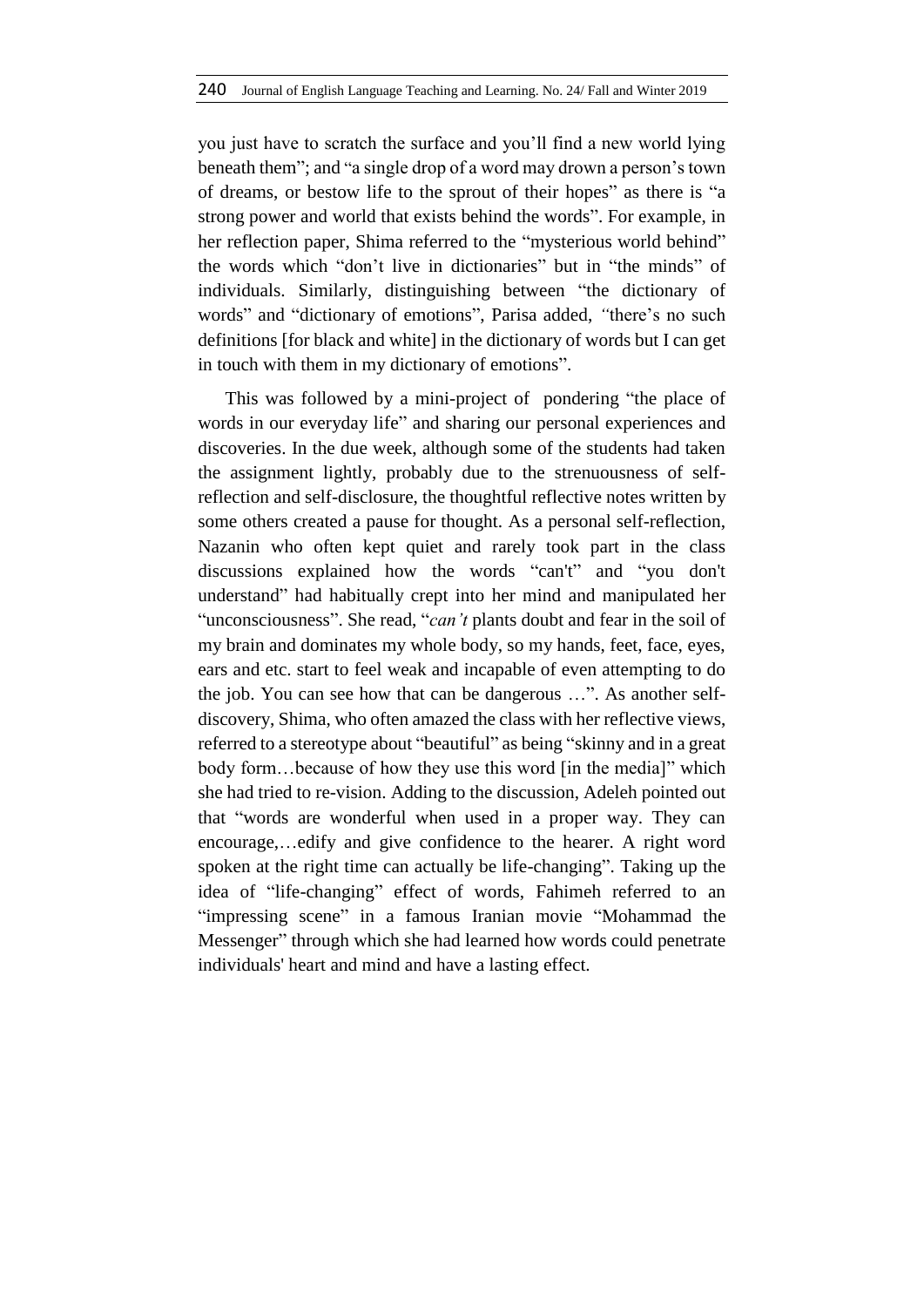you just have to scratch the surface and you'll find a new world lying beneath them"; and "a single drop of a word may drown a person's town of dreams, or bestow life to the sprout of their hopes" as there is "a strong power and world that exists behind the words". For example, in her reflection paper, Shima referred to the "mysterious world behind" the words which "don't live in dictionaries" but in "the minds" of individuals. Similarly, distinguishing between "the dictionary of words" and "dictionary of emotions", Parisa added, *"*there's no such definitions [for black and white] in the dictionary of words but I can get in touch with them in my dictionary of emotions".

This was followed by a mini-project of pondering "the place of words in our everyday life" and sharing our personal experiences and discoveries. In the due week, although some of the students had taken the assignment lightly, probably due to the strenuousness of selfreflection and self-disclosure, the thoughtful reflective notes written by some others created a pause for thought. As a personal self-reflection, Nazanin who often kept quiet and rarely took part in the class discussions explained how the words "can't" and "you don't understand" had habitually crept into her mind and manipulated her "unconsciousness". She read, "*can't* plants doubt and fear in the soil of my brain and dominates my whole body, so my hands, feet, face, eyes, ears and etc. start to feel weak and incapable of even attempting to do the job. You can see how that can be dangerous …". As another selfdiscovery, Shima, who often amazed the class with her reflective views, referred to a stereotype about "beautiful" as being "skinny and in a great body form…because of how they use this word [in the media]" which she had tried to re-vision. Adding to the discussion, Adeleh pointed out that "words are wonderful when used in a proper way. They can encourage,…edify and give confidence to the hearer. A right word spoken at the right time can actually be life-changing". Taking up the idea of "life-changing" effect of words, Fahimeh referred to an "impressing scene" in a famous Iranian movie "Mohammad the Messenger" through which she had learned how words could penetrate individuals' heart and mind and have a lasting effect.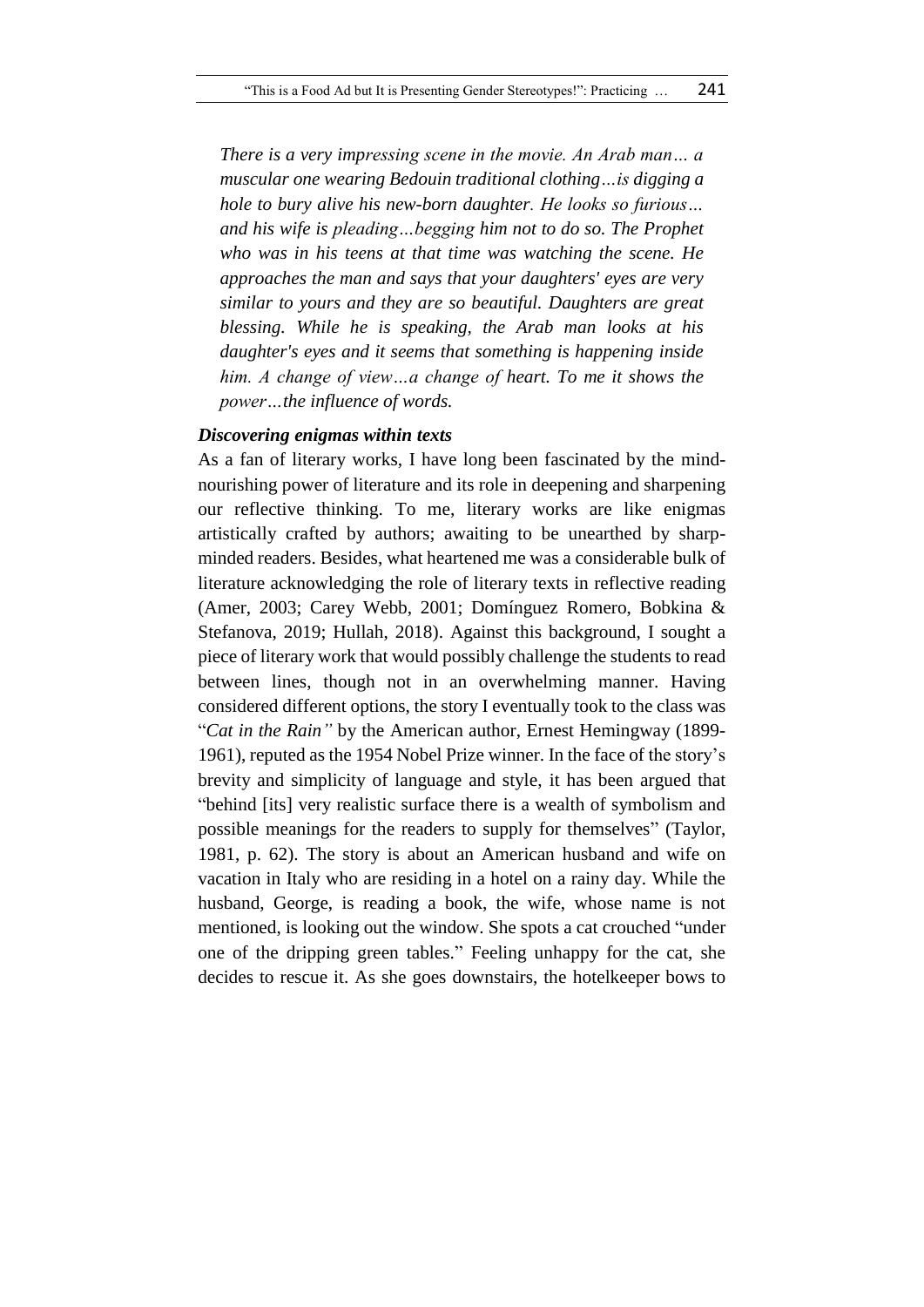*There is a very impressing scene in the movie. An Arab man… a muscular one wearing Bedouin traditional clothing…is digging a hole to bury alive his new-born daughter. He looks so furious… and his wife is pleading…begging him not to do so. The Prophet who was in his teens at that time was watching the scene. He approaches the man and says that your daughters' eyes are very similar to yours and they are so beautiful. Daughters are great blessing. While he is speaking, the Arab man looks at his daughter's eyes and it seems that something is happening inside him. A change of view…a change of heart. To me it shows the power…the influence of words.* 

# *Discovering enigmas within texts*

As a fan of literary works, I have long been fascinated by the mindnourishing power of literature and its role in deepening and sharpening our reflective thinking. To me, literary works are like enigmas artistically crafted by authors; awaiting to be unearthed by sharpminded readers. Besides, what heartened me was a considerable bulk of literature acknowledging the role of literary texts in reflective reading (Amer, 2003; Carey Webb, 2001; Domínguez Romero, Bobkina & Stefanova, 2019; Hullah, 2018). Against this background, I sought a piece of literary work that would possibly challenge the students to read between lines, though not in an overwhelming manner. Having considered different options, the story I eventually took to the class was "*Cat in the Rain"* by the American author, Ernest Hemingway (1899- 1961), reputed as the 1954 Nobel Prize winner. In the face of the story's brevity and simplicity of language and style, it has been argued that "behind [its] very realistic surface there is a wealth of symbolism and possible meanings for the readers to supply for themselves" (Taylor, 1981, p. 62). The story is about an American husband and wife on vacation in Italy who are residing in a hotel on a rainy day. While the husband, George, is reading a book, the wife, whose name is not mentioned, is looking out the window. She spots a cat crouched "under one of the dripping green tables." Feeling unhappy for the cat, she decides to rescue it. As she goes downstairs, the hotelkeeper bows to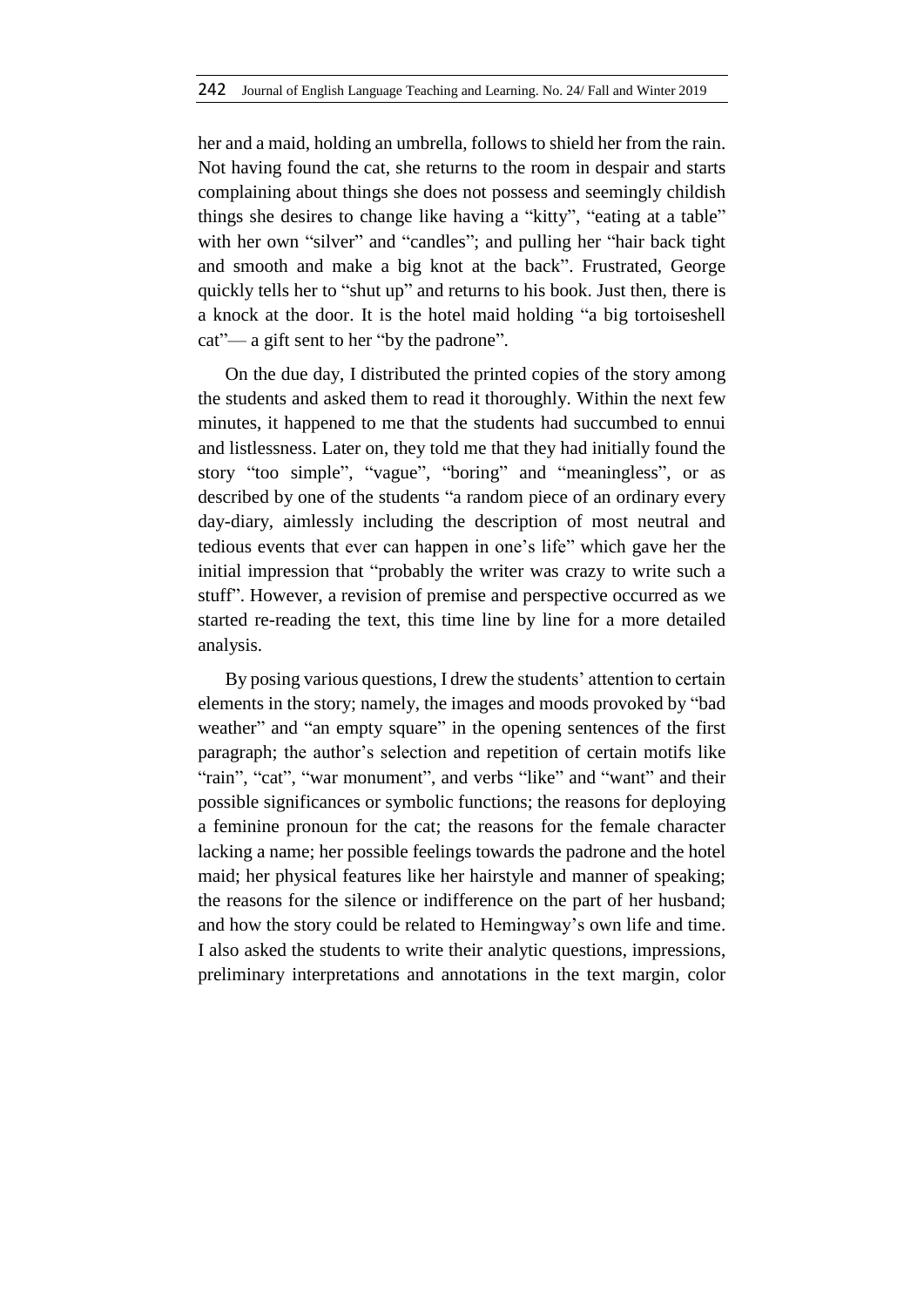her and a maid, holding an umbrella, follows to shield her from the rain. Not having found the cat, she returns to the room in despair and starts complaining about things she does not possess and seemingly childish things she desires to change like having a "kitty", "eating at a table" with her own "silver" and "candles"; and pulling her "hair back tight and smooth and make a big knot at the back". Frustrated, George quickly tells her to "shut up" and returns to his book. Just then, there is a knock at the door. It is the hotel maid holding "a big tortoiseshell cat"— a gift sent to her "by the padrone".

On the due day, I distributed the printed copies of the story among the students and asked them to read it thoroughly. Within the next few minutes, it happened to me that the students had succumbed to ennui and listlessness. Later on, they told me that they had initially found the story "too simple", "vague", "boring" and "meaningless", or as described by one of the students "a random piece of an ordinary every day-diary, aimlessly including the description of most neutral and tedious events that ever can happen in one's life" which gave her the initial impression that "probably the writer was crazy to write such a stuff". However, a revision of premise and perspective occurred as we started re-reading the text, this time line by line for a more detailed analysis.

By posing various questions, I drew the students' attention to certain elements in the story; namely, the images and moods provoked by "bad weather" and "an empty square" in the opening sentences of the first paragraph; the author's selection and repetition of certain motifs like "rain", "cat", "war monument", and verbs "like" and "want" and their possible significances or symbolic functions; the reasons for deploying a feminine pronoun for the cat; the reasons for the female character lacking a name; her possible feelings towards the padrone and the hotel maid; her physical features like her hairstyle and manner of speaking; the reasons for the silence or indifference on the part of her husband; and how the story could be related to Hemingway's own life and time. I also asked the students to write their analytic questions, impressions, preliminary interpretations and annotations in the text margin, color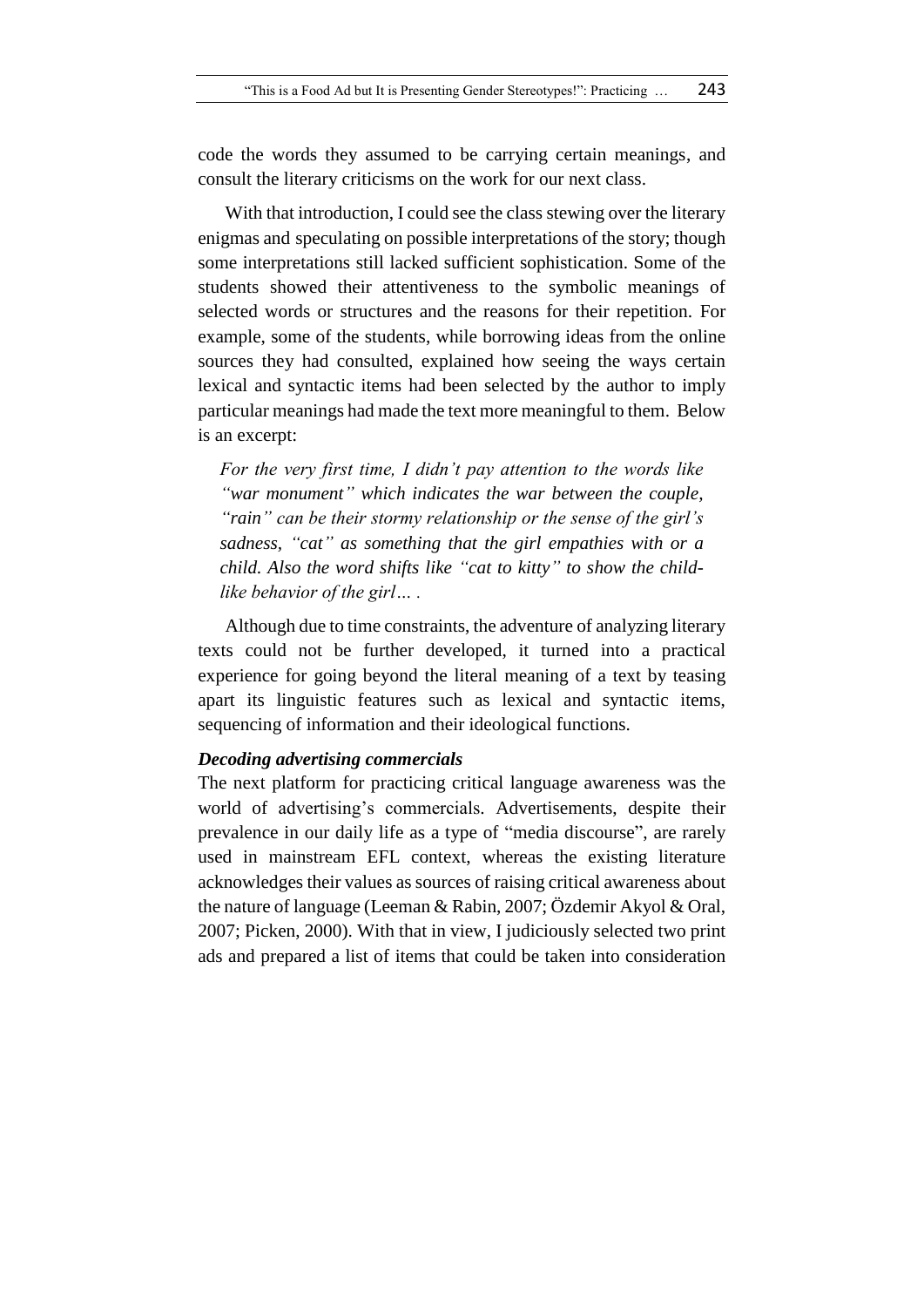code the words they assumed to be carrying certain meanings, and consult the literary criticisms on the work for our next class.

With that introduction, I could see the class stewing over the literary enigmas and speculating on possible interpretations of the story; though some interpretations still lacked sufficient sophistication. Some of the students showed their attentiveness to the symbolic meanings of selected words or structures and the reasons for their repetition. For example, some of the students, while borrowing ideas from the online sources they had consulted, explained how seeing the ways certain lexical and syntactic items had been selected by the author to imply particular meanings had made the text more meaningful to them. Below is an excerpt:

*For the very first time, I didn't pay attention to the words like "war monument" which indicates the war between the couple, "rain" can be their stormy relationship or the sense of the girl's sadness, "cat" as something that the girl empathies with or a child. Also the word shifts like "cat to kitty" to show the childlike behavior of the girl… .*

Although due to time constraints, the adventure of analyzing literary texts could not be further developed, it turned into a practical experience for going beyond the literal meaning of a text by teasing apart its linguistic features such as lexical and syntactic items, sequencing of information and their ideological functions.

# *Decoding advertising commercials*

The next platform for practicing critical language awareness was the world of advertising's commercials. Advertisements, despite their prevalence in our daily life as a type of "media discourse", are rarely used in mainstream EFL context, whereas the existing literature acknowledges their values as sources of raising critical awareness about the nature of language (Leeman & Rabin, 2007; Özdemir Akyol & Oral, 2007; Picken, 2000). With that in view, I judiciously selected two print ads and prepared a list of items that could be taken into consideration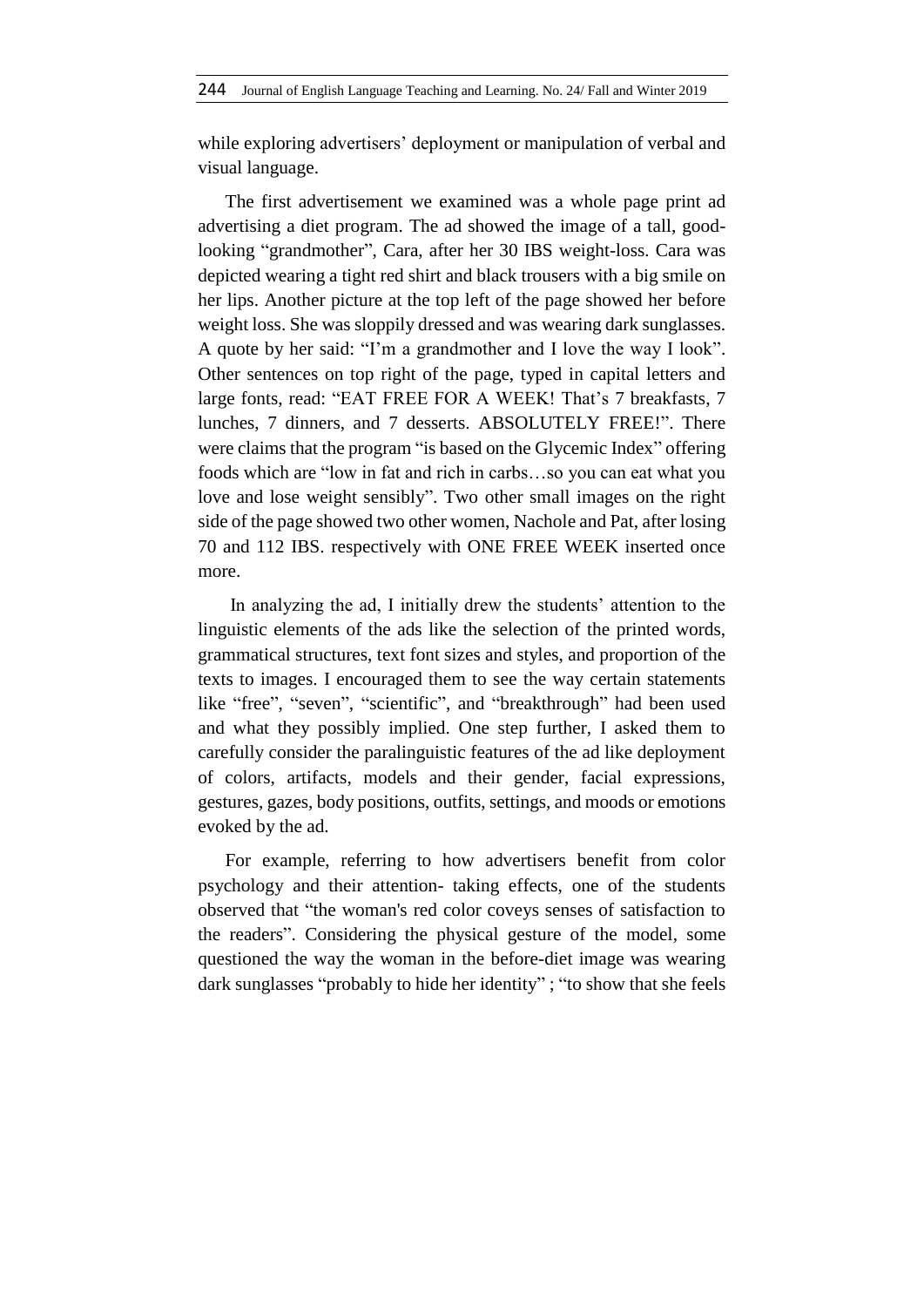while exploring advertisers' deployment or manipulation of verbal and visual language.

The first advertisement we examined was a whole page print ad advertising a diet program. The ad showed the image of a tall, goodlooking "grandmother", Cara, after her 30 IBS weight-loss. Cara was depicted wearing a tight red shirt and black trousers with a big smile on her lips. Another picture at the top left of the page showed her before weight loss. She was sloppily dressed and was wearing dark sunglasses. A quote by her said: "I'm a grandmother and I love the way I look". Other sentences on top right of the page, typed in capital letters and large fonts, read: "EAT FREE FOR A WEEK! That's 7 breakfasts, 7 lunches, 7 dinners, and 7 desserts. ABSOLUTELY FREE!". There were claims that the program "is based on the Glycemic Index" offering foods which are "low in fat and rich in carbs…so you can eat what you love and lose weight sensibly". Two other small images on the right side of the page showed two other women, Nachole and Pat, after losing 70 and 112 IBS. respectively with ONE FREE WEEK inserted once more.

In analyzing the ad, I initially drew the students' attention to the linguistic elements of the ads like the selection of the printed words, grammatical structures, text font sizes and styles, and proportion of the texts to images. I encouraged them to see the way certain statements like "free", "seven", "scientific", and "breakthrough" had been used and what they possibly implied. One step further, I asked them to carefully consider the paralinguistic features of the ad like deployment of colors, artifacts, models and their gender, facial expressions, gestures, gazes, body positions, outfits, settings, and moods or emotions evoked by the ad.

For example, referring to how advertisers benefit from color psychology and their attention- taking effects, one of the students observed that "the woman's red color coveys senses of satisfaction to the readers". Considering the physical gesture of the model, some questioned the way the woman in the before-diet image was wearing dark sunglasses "probably to hide her identity" ; "to show that she feels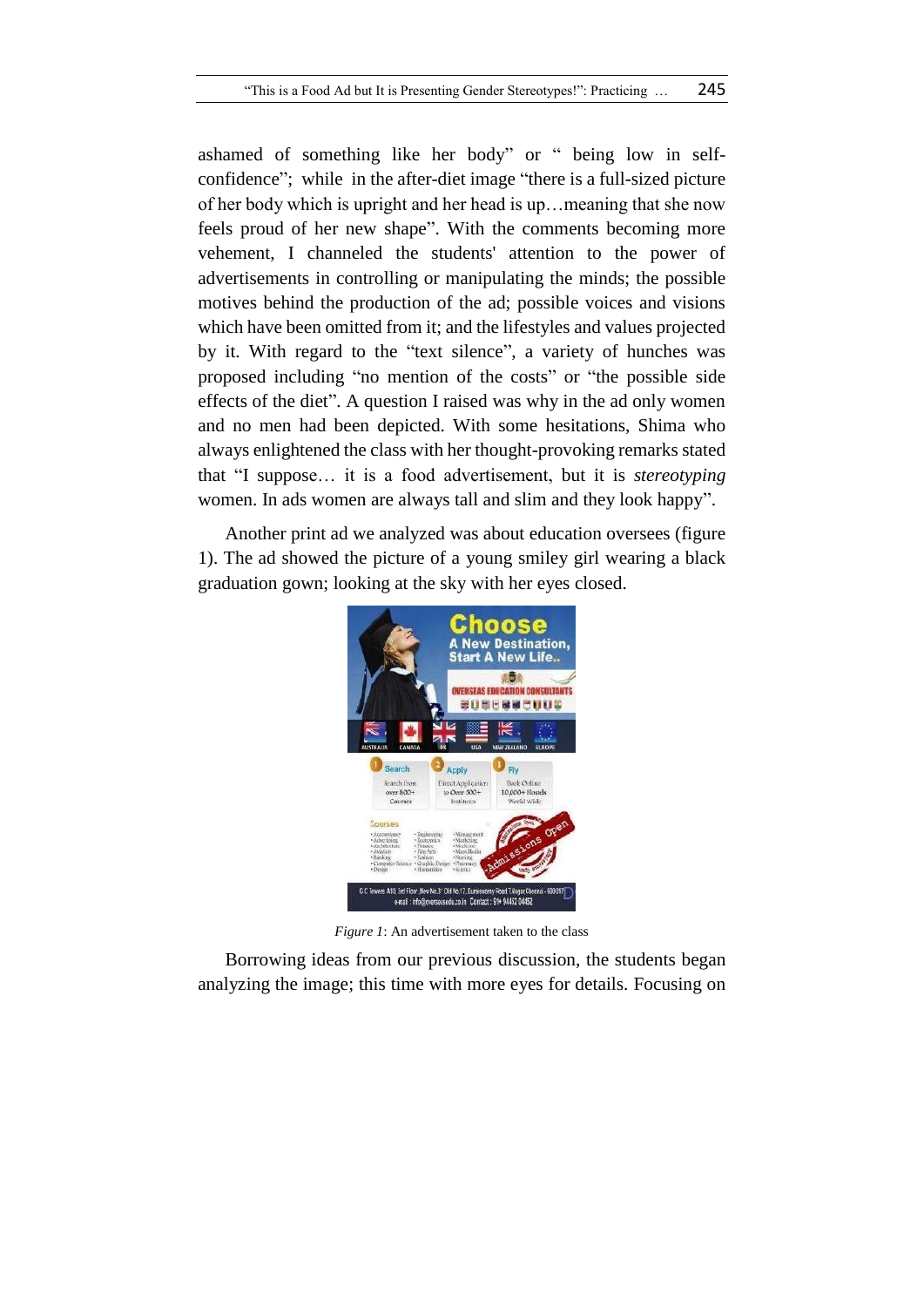ashamed of something like her body" or " being low in selfconfidence"; while in the after-diet image "there is a full-sized picture of her body which is upright and her head is up…meaning that she now feels proud of her new shape". With the comments becoming more vehement, I channeled the students' attention to the power of advertisements in controlling or manipulating the minds; the possible motives behind the production of the ad; possible voices and visions which have been omitted from it; and the lifestyles and values projected by it. With regard to the "text silence", a variety of hunches was proposed including "no mention of the costs" or "the possible side effects of the diet". A question I raised was why in the ad only women and no men had been depicted. With some hesitations, Shima who always enlightened the class with her thought-provoking remarks stated that "I suppose… it is a food advertisement, but it is *stereotyping* women. In ads women are always tall and slim and they look happy".

Another print ad we analyzed was about education oversees (figure 1). The ad showed the picture of a young smiley girl wearing a black graduation gown; looking at the sky with her eyes closed.



*Figure 1*: An advertisement taken to the class

Borrowing ideas from our previous discussion, the students began analyzing the image; this time with more eyes for details. Focusing on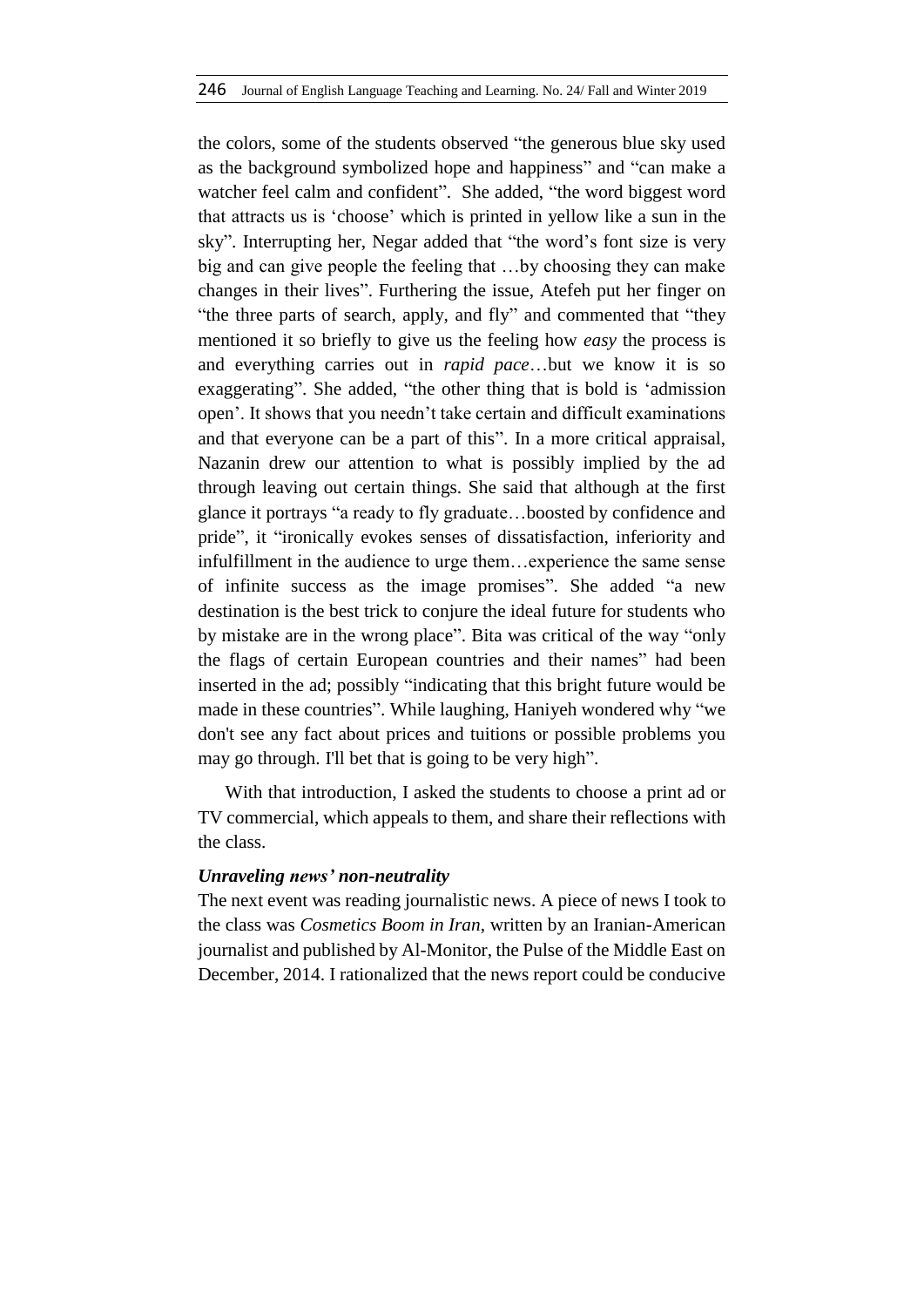the colors, some of the students observed "the generous blue sky used as the background symbolized hope and happiness" and "can make a watcher feel calm and confident". She added, "the word biggest word that attracts us is 'choose' which is printed in yellow like a sun in the sky". Interrupting her, Negar added that "the word's font size is very big and can give people the feeling that …by choosing they can make changes in their lives". Furthering the issue, Atefeh put her finger on "the three parts of search, apply, and fly" and commented that "they mentioned it so briefly to give us the feeling how *easy* the process is and everything carries out in *rapid pace*…but we know it is so exaggerating". She added, "the other thing that is bold is 'admission open'. It shows that you needn't take certain and difficult examinations and that everyone can be a part of this". In a more critical appraisal, Nazanin drew our attention to what is possibly implied by the ad through leaving out certain things. She said that although at the first glance it portrays "a ready to fly graduate…boosted by confidence and pride", it "ironically evokes senses of dissatisfaction, inferiority and infulfillment in the audience to urge them…experience the same sense of infinite success as the image promises". She added "a new destination is the best trick to conjure the ideal future for students who by mistake are in the wrong place". Bita was critical of the way "only the flags of certain European countries and their names" had been inserted in the ad; possibly "indicating that this bright future would be made in these countries". While laughing, Haniyeh wondered why "we don't see any fact about prices and tuitions or possible problems you may go through. I'll bet that is going to be very high".

With that introduction, I asked the students to choose a print ad or TV commercial, which appeals to them, and share their reflections with the class.

#### *Unraveling news' non-neutrality*

The next event was reading journalistic news. A piece of news I took to the class was *Cosmetics Boom in Iran*, written by an Iranian-American journalist and published by Al-Monitor, the Pulse of the Middle East on December, 2014. I rationalized that the news report could be conducive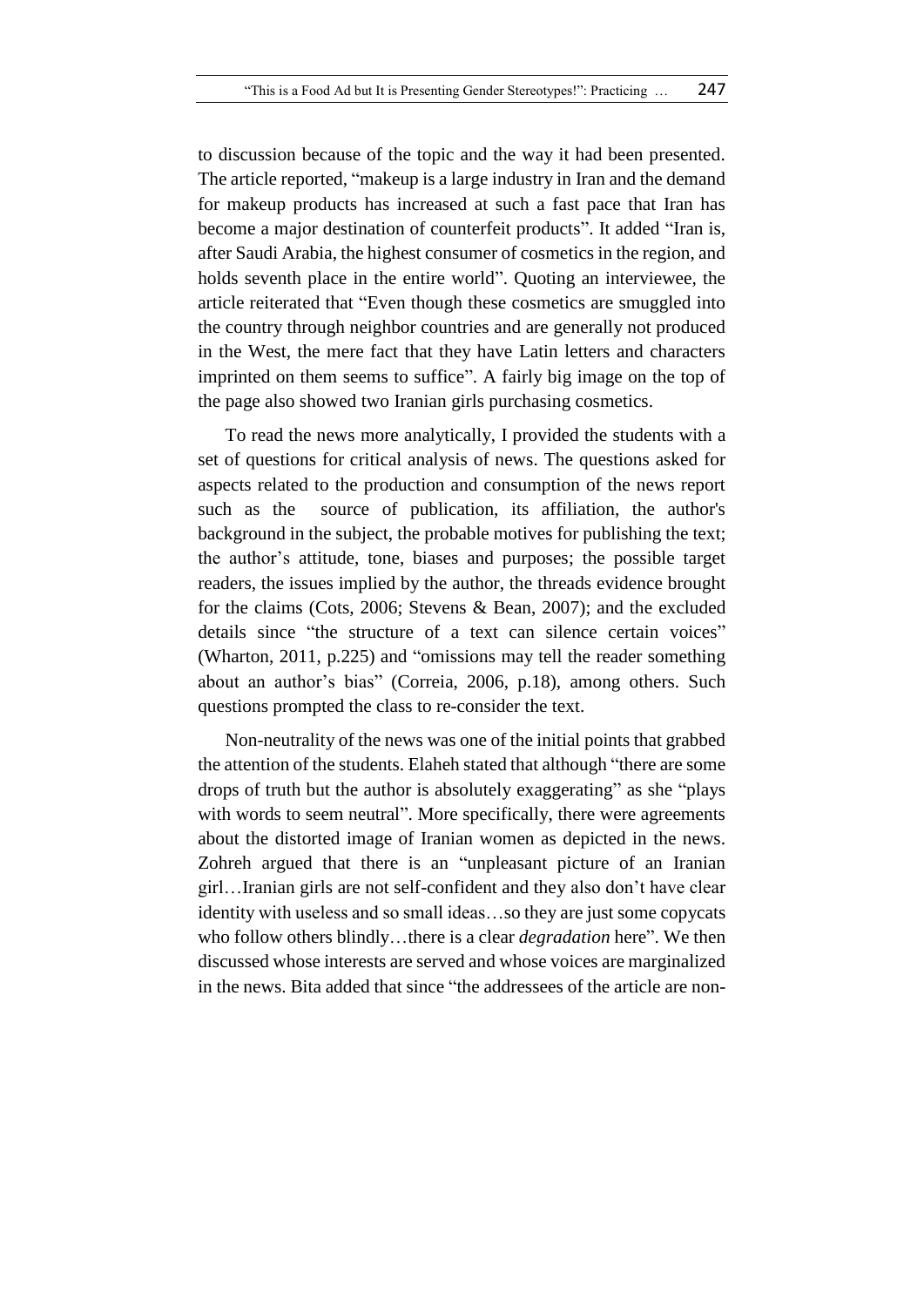to discussion because of the topic and the way it had been presented. The article reported, "makeup is a large industry in Iran and the demand for makeup products has increased at such a fast pace that Iran has become a major destination of counterfeit products". It added "Iran is, after Saudi Arabia, the highest consumer of cosmetics in the region, and holds seventh place in the entire world". Quoting an interviewee, the article reiterated that "Even though these cosmetics are smuggled into the country through neighbor countries and are generally not produced in the West, the mere fact that they have Latin letters and characters imprinted on them seems to suffice". A fairly big image on the top of the page also showed two Iranian girls purchasing cosmetics.

To read the news more analytically, I provided the students with a set of questions for critical analysis of news. The questions asked for aspects related to the production and consumption of the news report such as the source of publication, its affiliation, the author's background in the subject, the probable motives for publishing the text; the author's attitude, tone, biases and purposes; the possible target readers, the issues implied by the author, the threads evidence brought for the claims (Cots, 2006; Stevens & Bean, 2007); and the excluded details since "the structure of a text can silence certain voices" (Wharton, 2011, p.225) and "omissions may tell the reader something about an author's bias" (Correia, 2006, p.18), among others. Such questions prompted the class to re-consider the text.

Non-neutrality of the news was one of the initial points that grabbed the attention of the students. Elaheh stated that although "there are some drops of truth but the author is absolutely exaggerating" as she "plays with words to seem neutral". More specifically, there were agreements about the distorted image of Iranian women as depicted in the news. Zohreh argued that there is an "unpleasant picture of an Iranian girl…Iranian girls are not self-confident and they also don't have clear identity with useless and so small ideas…so they are just some copycats who follow others blindly…there is a clear *degradation* here". We then discussed whose interests are served and whose voices are marginalized in the news. Bita added that since "the addressees of the article are non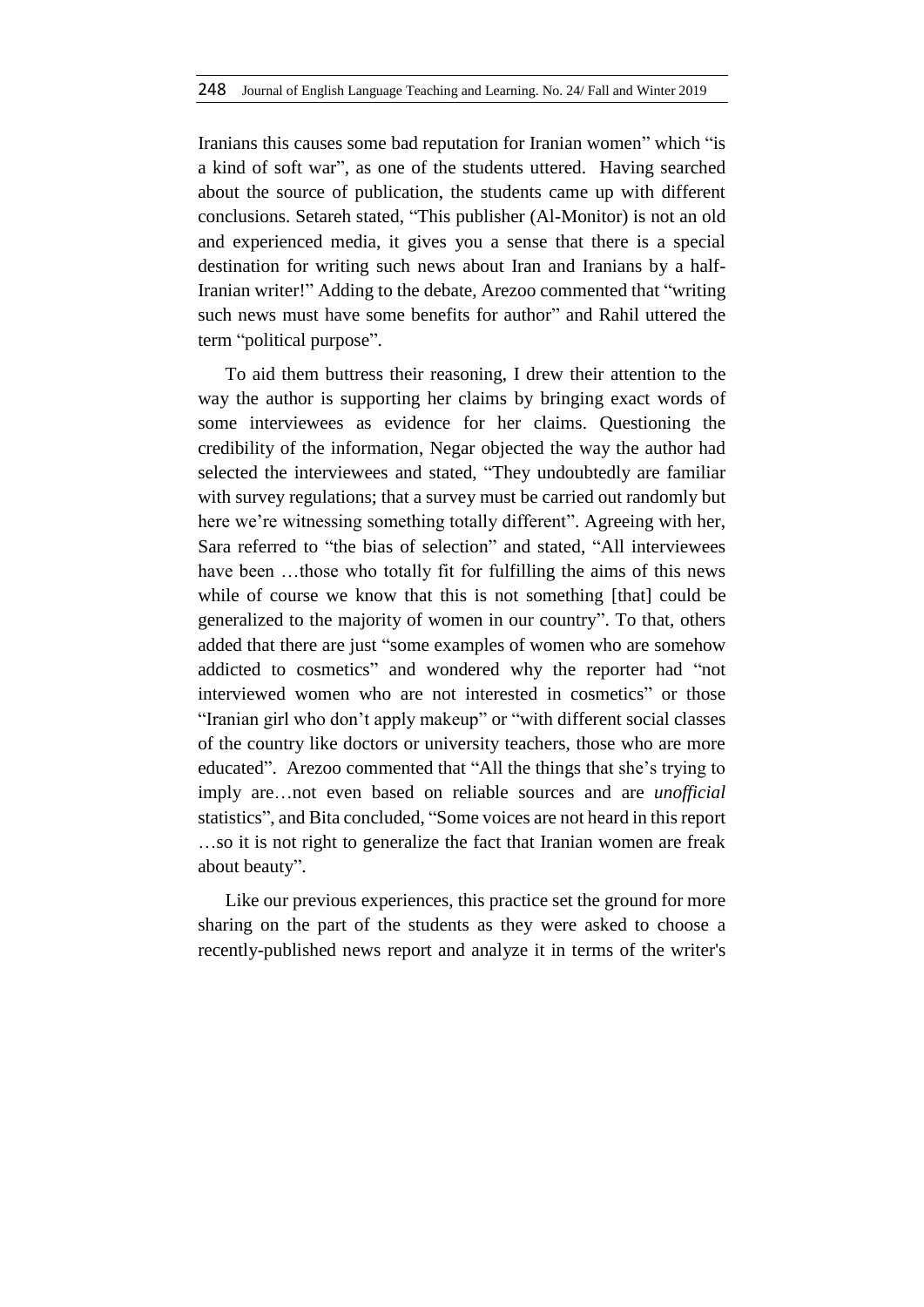Iranians this causes some bad reputation for Iranian women" which "is a kind of soft war", as one of the students uttered. Having searched about the source of publication, the students came up with different conclusions. Setareh stated, "This publisher (Al-Monitor) is not an old and experienced media, it gives you a sense that there is a special destination for writing such news about Iran and Iranians by a half-Iranian writer!" Adding to the debate, Arezoo commented that "writing such news must have some benefits for author" and Rahil uttered the term "political purpose".

To aid them buttress their reasoning, I drew their attention to the way the author is supporting her claims by bringing exact words of some interviewees as evidence for her claims. Questioning the credibility of the information, Negar objected the way the author had selected the interviewees and stated, "They undoubtedly are familiar with survey regulations; that a survey must be carried out randomly but here we're witnessing something totally different". Agreeing with her, Sara referred to "the bias of selection" and stated, "All interviewees have been ...those who totally fit for fulfilling the aims of this news while of course we know that this is not something [that] could be generalized to the majority of women in our country". To that, others added that there are just "some examples of women who are somehow addicted to cosmetics" and wondered why the reporter had "not interviewed women who are not interested in cosmetics" or those "Iranian girl who don't apply makeup" or "with different social classes of the country like doctors or university teachers, those who are more educated". Arezoo commented that "All the things that she's trying to imply are…not even based on reliable sources and are *unofficial* statistics", and Bita concluded, "Some voices are not heard in this report …so it is not right to generalize the fact that Iranian women are freak about beauty".

Like our previous experiences, this practice set the ground for more sharing on the part of the students as they were asked to choose a recently-published news report and analyze it in terms of the writer's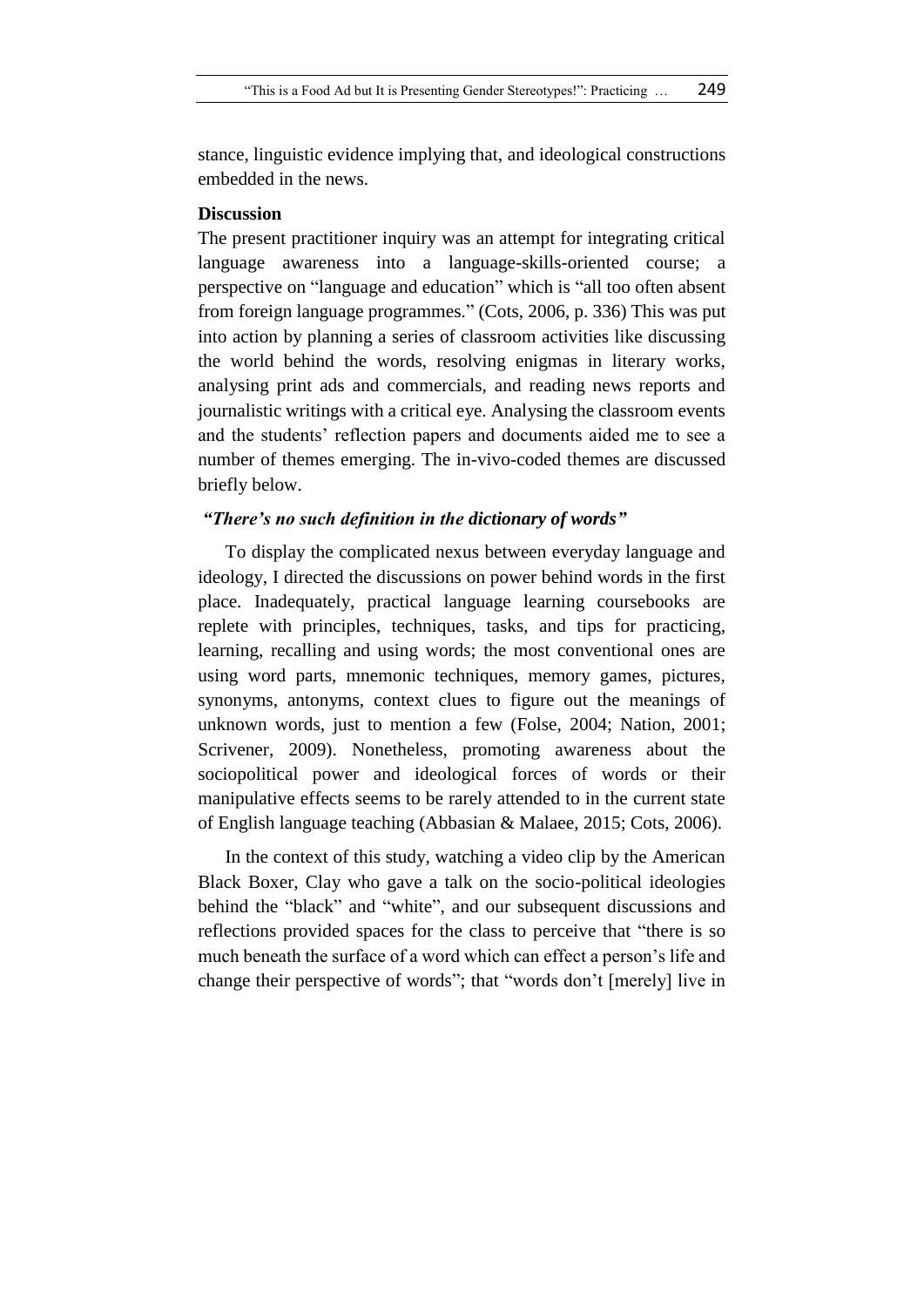stance, linguistic evidence implying that, and ideological constructions embedded in the news.

### **Discussion**

The present practitioner inquiry was an attempt for integrating critical language awareness into a language-skills-oriented course; a perspective on "language and education" which is "all too often absent from foreign language programmes." (Cots, 2006, p. 336) This was put into action by planning a series of classroom activities like discussing the world behind the words, resolving enigmas in literary works, analysing print ads and commercials, and reading news reports and journalistic writings with a critical eye. Analysing the classroom events and the students' reflection papers and documents aided me to see a number of themes emerging. The in-vivo-coded themes are discussed briefly below.

### *"There's no such definition in the dictionary of words"*

To display the complicated nexus between everyday language and ideology, I directed the discussions on power behind words in the first place. Inadequately, practical language learning coursebooks are replete with principles, techniques, tasks, and tips for practicing, learning, recalling and using words; the most conventional ones are using word parts, mnemonic techniques, memory games, pictures, synonyms, antonyms, context clues to figure out the meanings of unknown words, just to mention a few (Folse, 2004; Nation, 2001; Scrivener, 2009). Nonetheless, promoting awareness about the sociopolitical power and ideological forces of words or their manipulative effects seems to be rarely attended to in the current state of English language teaching (Abbasian & Malaee, 2015; Cots, 2006).

In the context of this study, watching a video clip by the American Black Boxer, Clay who gave a talk on the socio-political ideologies behind the "black" and "white", and our subsequent discussions and reflections provided spaces for the class to perceive that "there is so much beneath the surface of a word which can effect a person's life and change their perspective of words"; that "words don't [merely] live in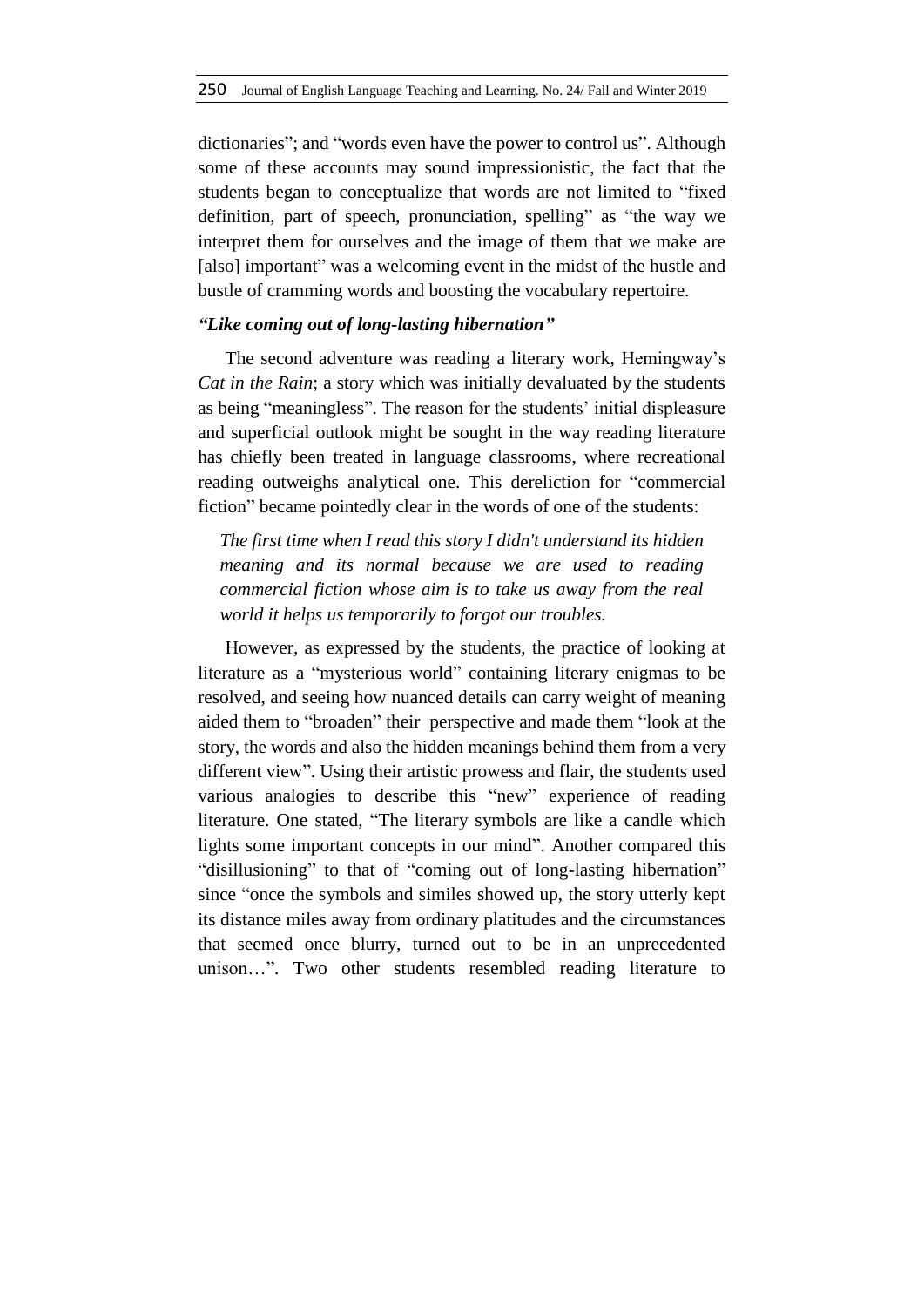dictionaries"; and "words even have the power to control us". Although some of these accounts may sound impressionistic, the fact that the students began to conceptualize that words are not limited to "fixed definition, part of speech, pronunciation, spelling" as "the way we interpret them for ourselves and the image of them that we make are [also] important" was a welcoming event in the midst of the hustle and bustle of cramming words and boosting the vocabulary repertoire.

# *"Like coming out of long-lasting hibernation"*

The second adventure was reading a literary work, Hemingway's *Cat in the Rain*; a story which was initially devaluated by the students as being "meaningless". The reason for the students' initial displeasure and superficial outlook might be sought in the way reading literature has chiefly been treated in language classrooms, where recreational reading outweighs analytical one. This dereliction for "commercial fiction" became pointedly clear in the words of one of the students:

*The first time when I read this story I didn't understand its hidden meaning and its normal because we are used to reading commercial fiction whose aim is to take us away from the real world it helps us temporarily to forgot our troubles.*

However, as expressed by the students, the practice of looking at literature as a "mysterious world" containing literary enigmas to be resolved, and seeing how nuanced details can carry weight of meaning aided them to "broaden" their perspective and made them "look at the story, the words and also the hidden meanings behind them from a very different view". Using their artistic prowess and flair, the students used various analogies to describe this "new" experience of reading literature. One stated, "The literary symbols are like a candle which lights some important concepts in our mind". Another compared this "disillusioning" to that of "coming out of long-lasting hibernation" since "once the symbols and similes showed up, the story utterly kept its distance miles away from ordinary platitudes and the circumstances that seemed once blurry, turned out to be in an unprecedented unison…". Two other students resembled reading literature to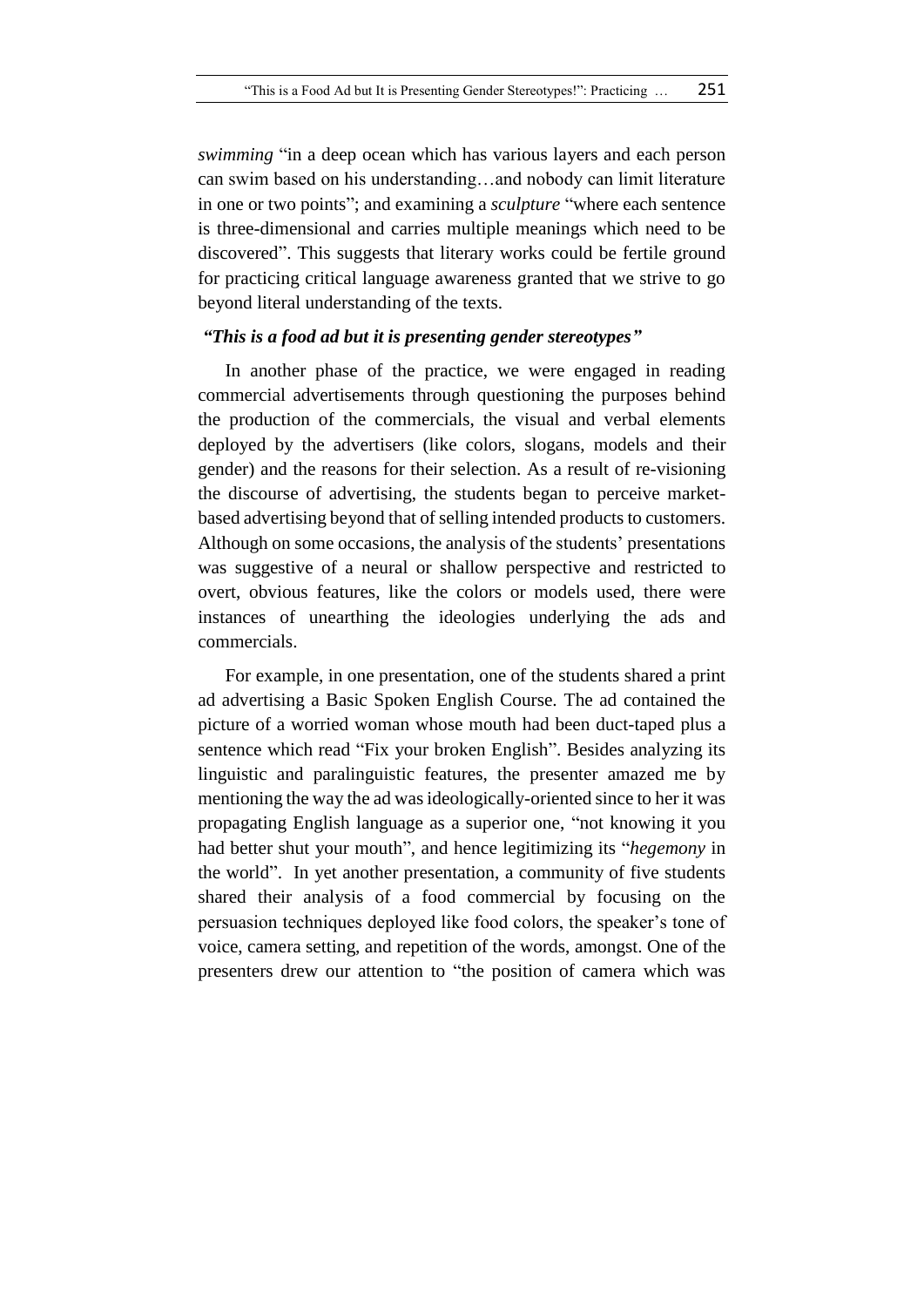*swimming* "in a deep ocean which has various layers and each person can swim based on his understanding…and nobody can limit literature in one or two points"; and examining a *sculpture* "where each sentence is three-dimensional and carries multiple meanings which need to be discovered". This suggests that literary works could be fertile ground for practicing critical language awareness granted that we strive to go beyond literal understanding of the texts.

### *"This is a food ad but it is presenting gender stereotypes"*

In another phase of the practice, we were engaged in reading commercial advertisements through questioning the purposes behind the production of the commercials, the visual and verbal elements deployed by the advertisers (like colors, slogans, models and their gender) and the reasons for their selection. As a result of re-visioning the discourse of advertising, the students began to perceive marketbased advertising beyond that of selling intended products to customers. Although on some occasions, the analysis of the students' presentations was suggestive of a neural or shallow perspective and restricted to overt, obvious features, like the colors or models used, there were instances of unearthing the ideologies underlying the ads and commercials.

For example, in one presentation, one of the students shared a print ad advertising a Basic Spoken English Course. The ad contained the picture of a worried woman whose mouth had been duct-taped plus a sentence which read "Fix your broken English". Besides analyzing its linguistic and paralinguistic features, the presenter amazed me by mentioning the way the ad was ideologically-oriented since to her it was propagating English language as a superior one, "not knowing it you had better shut your mouth", and hence legitimizing its "*hegemony* in the world". In yet another presentation, a community of five students shared their analysis of a food commercial by focusing on the persuasion techniques deployed like food colors, the speaker's tone of voice, camera setting, and repetition of the words, amongst. One of the presenters drew our attention to "the position of camera which was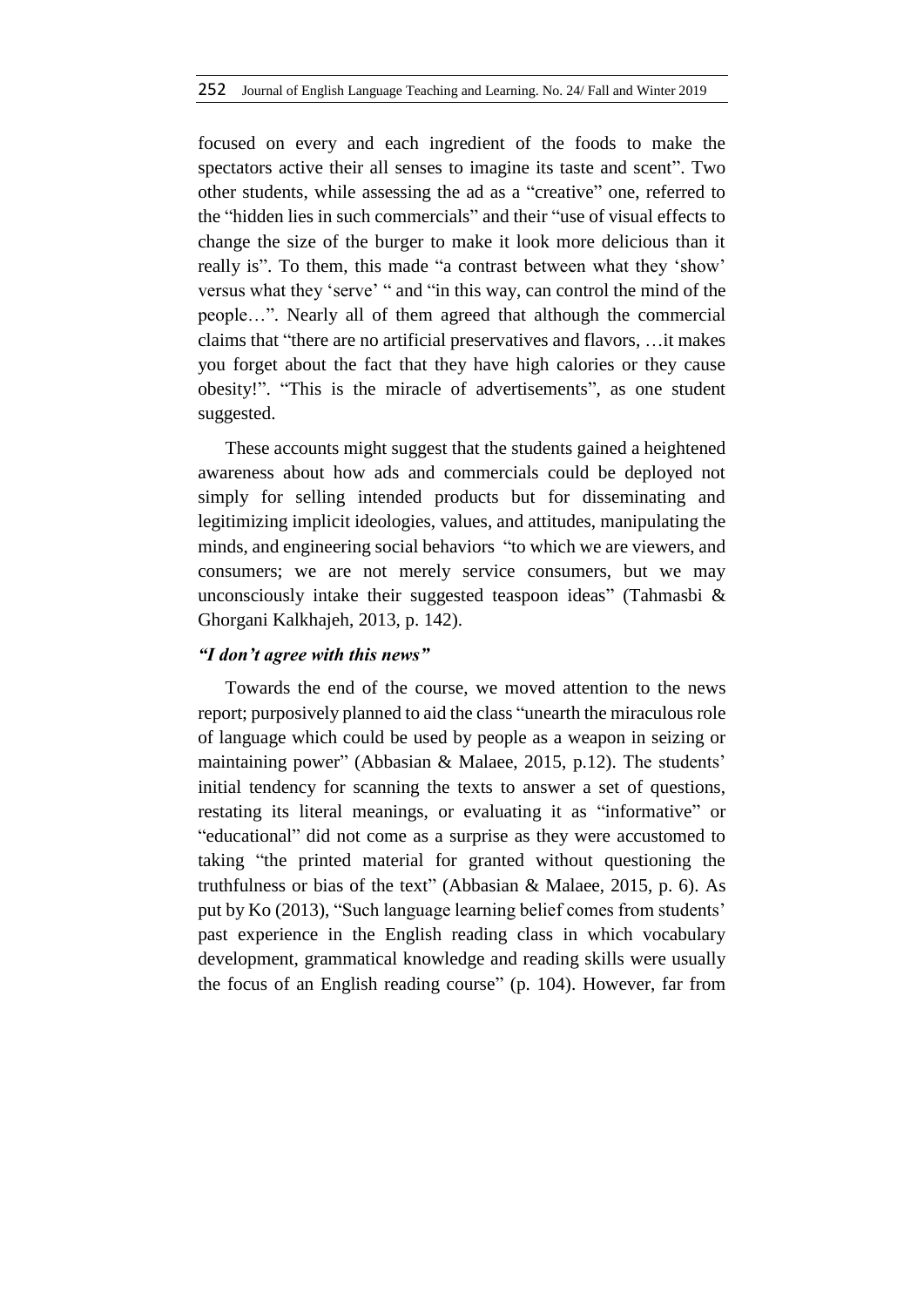focused on every and each ingredient of the foods to make the spectators active their all senses to imagine its taste and scent". Two other students, while assessing the ad as a "creative" one, referred to the "hidden lies in such commercials" and their "use of visual effects to change the size of the burger to make it look more delicious than it really is". To them, this made "a contrast between what they 'show' versus what they 'serve' " and "in this way, can control the mind of the people…". Nearly all of them agreed that although the commercial claims that "there are no artificial preservatives and flavors, …it makes you forget about the fact that they have high calories or they cause obesity!". "This is the miracle of advertisements", as one student suggested.

These accounts might suggest that the students gained a heightened awareness about how ads and commercials could be deployed not simply for selling intended products but for disseminating and legitimizing implicit ideologies, values, and attitudes, manipulating the minds, and engineering social behaviors "to which we are viewers, and consumers; we are not merely service consumers, but we may unconsciously intake their suggested teaspoon ideas" (Tahmasbi & Ghorgani Kalkhajeh, 2013, p. 142).

#### *"I don't agree with this news"*

Towards the end of the course, we moved attention to the news report; purposively planned to aid the class "unearth the miraculous role of language which could be used by people as a weapon in seizing or maintaining power" (Abbasian & Malaee, 2015, p.12). The students' initial tendency for scanning the texts to answer a set of questions, restating its literal meanings, or evaluating it as "informative" or "educational" did not come as a surprise as they were accustomed to taking "the printed material for granted without questioning the truthfulness or bias of the text" (Abbasian & Malaee, 2015, p. 6). As put by Ko (2013), "Such language learning belief comes from students' past experience in the English reading class in which vocabulary development, grammatical knowledge and reading skills were usually the focus of an English reading course" (p. 104). However, far from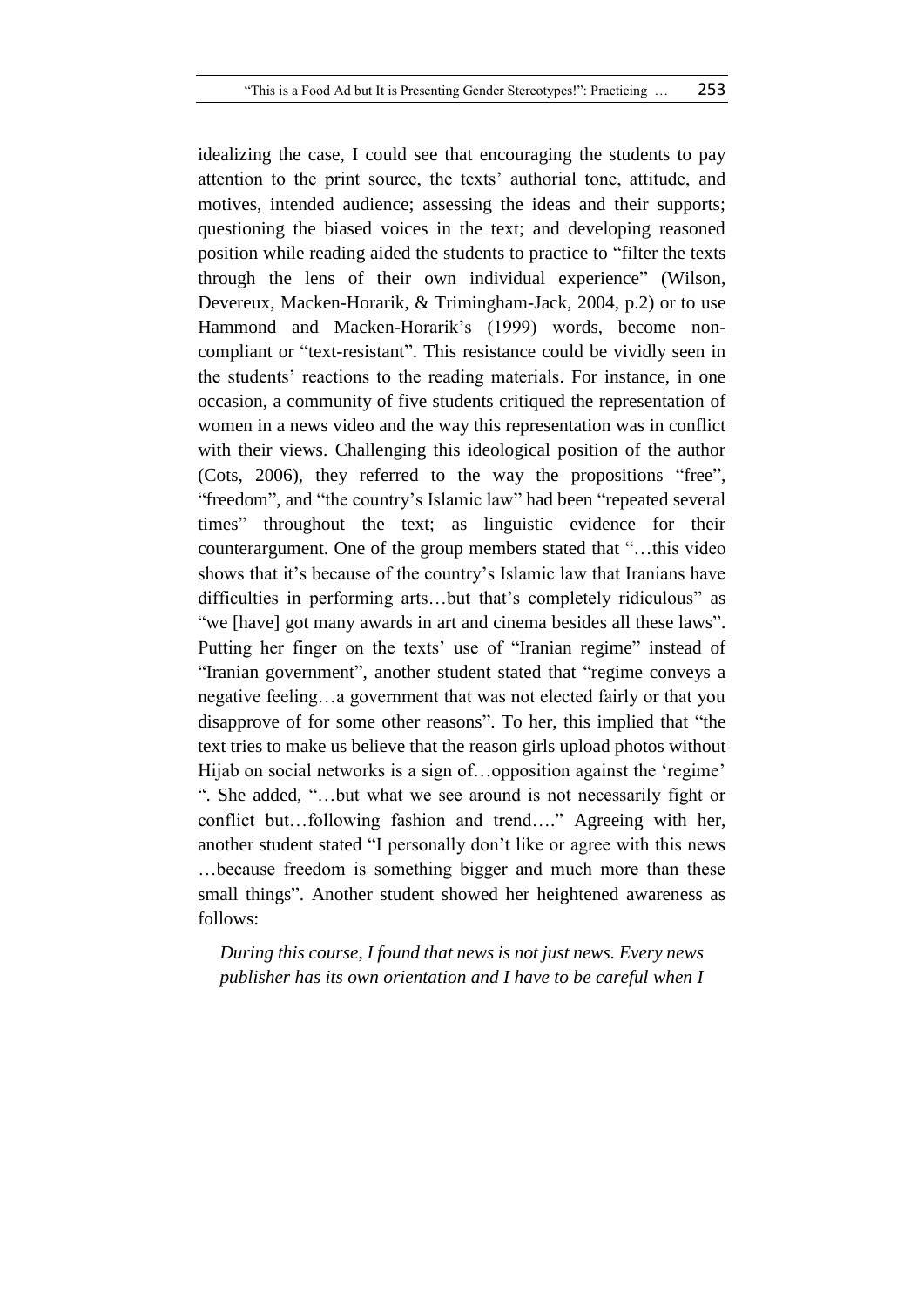idealizing the case, I could see that encouraging the students to pay attention to the print source, the texts' authorial tone, attitude, and motives, intended audience; assessing the ideas and their supports; questioning the biased voices in the text; and developing reasoned position while reading aided the students to practice to "filter the texts through the lens of their own individual experience" (Wilson, Devereux, Macken-Horarik, & Trimingham-Jack, 2004, p.2) or to use Hammond and Macken-Horarik's (1999) words, become noncompliant or "text-resistant". This resistance could be vividly seen in the students' reactions to the reading materials. For instance, in one occasion, a community of five students critiqued the representation of women in a news video and the way this representation was in conflict with their views. Challenging this ideological position of the author (Cots, 2006), they referred to the way the propositions "free", "freedom", and "the country's Islamic law" had been "repeated several times" throughout the text; as linguistic evidence for their counterargument. One of the group members stated that "…this video shows that it's because of the country's Islamic law that Iranians have difficulties in performing arts…but that's completely ridiculous" as "we [have] got many awards in art and cinema besides all these laws". Putting her finger on the texts' use of "Iranian regime" instead of "Iranian government", another student stated that "regime conveys a negative feeling…a government that was not elected fairly or that you disapprove of for some other reasons". To her, this implied that "the text tries to make us believe that the reason girls upload photos without Hijab on social networks is a sign of...opposition against the 'regime' ". She added, "…but what we see around is not necessarily fight or conflict but…following fashion and trend…." Agreeing with her, another student stated "I personally don't like or agree with this news …because freedom is something bigger and much more than these small things". Another student showed her heightened awareness as follows:

*During this course, I found that news is not just news. Every news publisher has its own orientation and I have to be careful when I*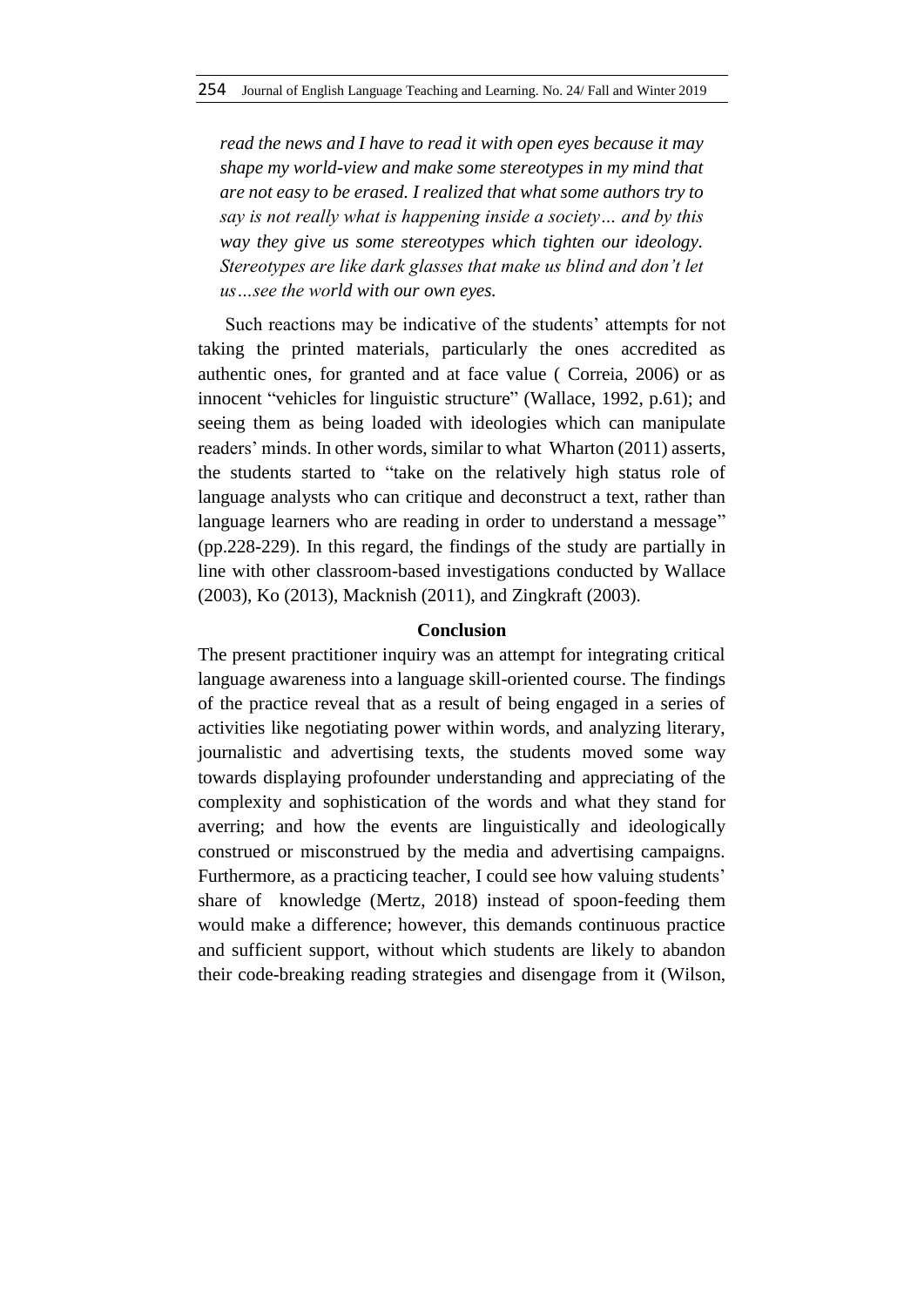*read the news and I have to read it with open eyes because it may shape my world-view and make some stereotypes in my mind that are not easy to be erased. I realized that what some authors try to say is not really what is happening inside a society… and by this way they give us some stereotypes which tighten our ideology. Stereotypes are like dark glasses that make us blind and don't let us…see the world with our own eyes.*

Such reactions may be indicative of the students' attempts for not taking the printed materials, particularly the ones accredited as authentic ones, for granted and at face value ( Correia, 2006) or as innocent "vehicles for linguistic structure" (Wallace, 1992, p.61); and seeing them as being loaded with ideologies which can manipulate readers' minds. In other words, similar to what Wharton (2011) asserts, the students started to "take on the relatively high status role of language analysts who can critique and deconstruct a text, rather than language learners who are reading in order to understand a message" (pp.228-229). In this regard, the findings of the study are partially in line with other classroom-based investigations conducted by Wallace (2003), Ko (2013), Macknish (2011), and Zingkraft (2003).

### **Conclusion**

The present practitioner inquiry was an attempt for integrating critical language awareness into a language skill-oriented course. The findings of the practice reveal that as a result of being engaged in a series of activities like negotiating power within words, and analyzing literary, journalistic and advertising texts, the students moved some way towards displaying profounder understanding and appreciating of the complexity and sophistication of the words and what they stand for averring; and how the events are linguistically and ideologically construed or misconstrued by the media and advertising campaigns. Furthermore, as a practicing teacher, I could see how valuing students' share of knowledge (Mertz, 2018) instead of spoon-feeding them would make a difference; however, this demands continuous practice and sufficient support, without which students are likely to abandon their code-breaking reading strategies and disengage from it (Wilson,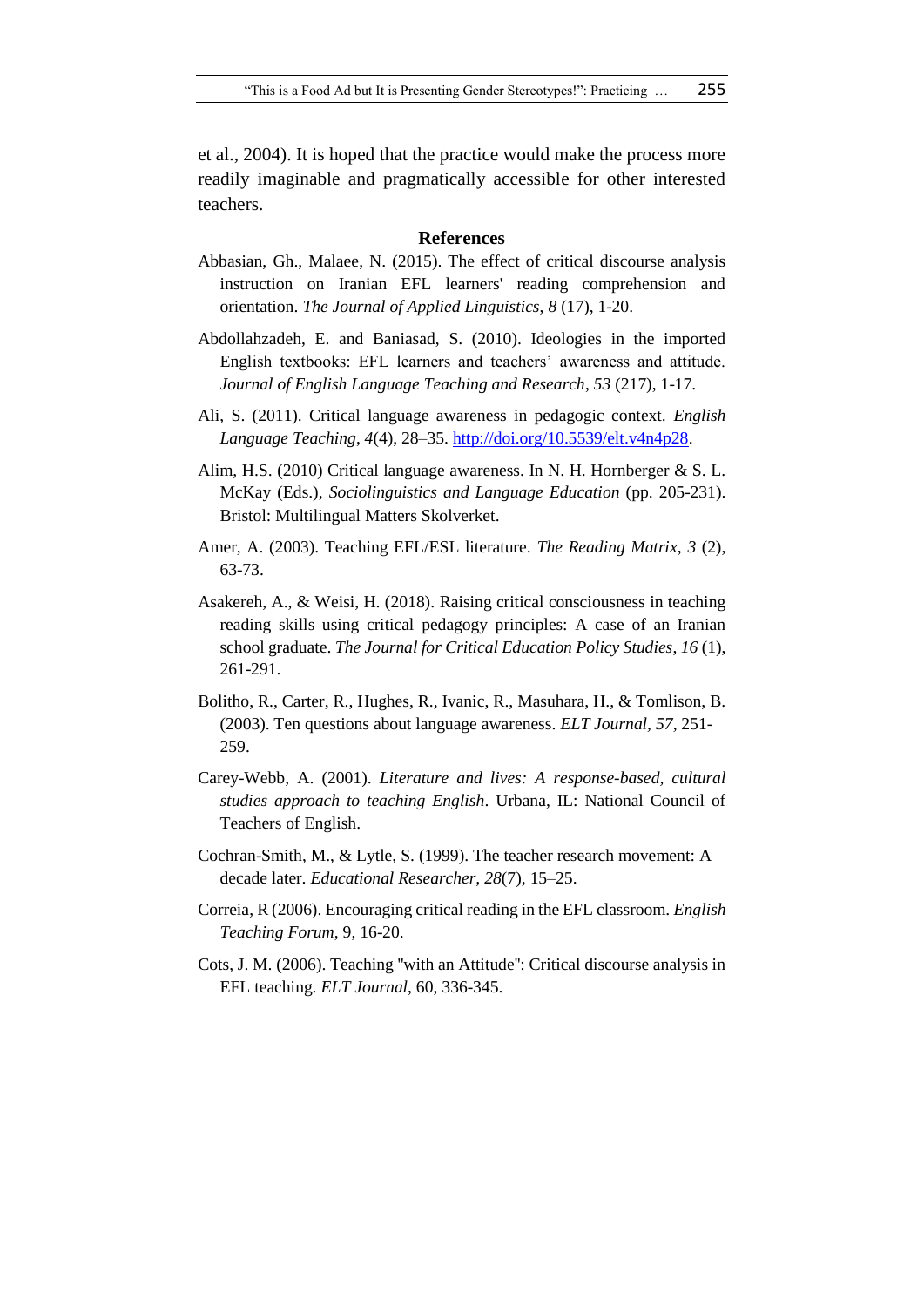et al., 2004). It is hoped that the practice would make the process more readily imaginable and pragmatically accessible for other interested teachers.

#### **References**

- Abbasian, Gh., Malaee, N. (2015). The effect of critical discourse analysis instruction on Iranian EFL learners' reading comprehension and orientation. *The Journal of Applied Linguistics*, *8* (17), 1-20.
- Abdollahzadeh, E. and Baniasad, S. (2010). Ideologies in the imported English textbooks: EFL learners and teachers' awareness and attitude. *Journal of English Language Teaching and Research*, *53* (217), 1-17.
- Ali, S. (2011). Critical language awareness in pedagogic context. *English Language Teaching*, *4*(4), 28–35. [http://doi.org/10.5539/elt.v4n4p28.](http://doi.org/10.5539/elt.v4n4p28)
- Alim, H.S. (2010) Critical language awareness. In N. H. Hornberger & S. L. McKay (Eds.), *Sociolinguistics and Language Education* (pp. 205-231). Bristol: Multilingual Matters Skolverket.
- Amer, A. (2003). Teaching EFL/ESL literature. *The Reading Matrix*, *3* (2), 63-73.
- Asakereh, A., & Weisi, H. (2018). Raising critical consciousness in teaching reading skills using critical pedagogy principles: A case of an Iranian school graduate. *The Journal for Critical Education Policy Studies*, *16* (1), 261-291.
- Bolitho, R., Carter, R., Hughes, R., Ivanic, R., Masuhara, H., & Tomlison, B. (2003). Ten questions about language awareness. *ELT Journal, 57*, 251- 259.
- Carey-Webb, A. (2001). *Literature and lives: A response-based, cultural studies approach to teaching English*. Urbana, IL: National Council of Teachers of English.
- Cochran-Smith, M., & Lytle, S. (1999). The teacher research movement: A decade later. *Educational Researcher, 28*(7), 15–25.
- Correia, R (2006). Encouraging critical reading in the EFL classroom. *English Teaching Forum*, 9, 16-20.
- Cots, J. M. (2006). Teaching ''with an Attitude'': Critical discourse analysis in EFL teaching. *ELT Journal*, 60, 336-345.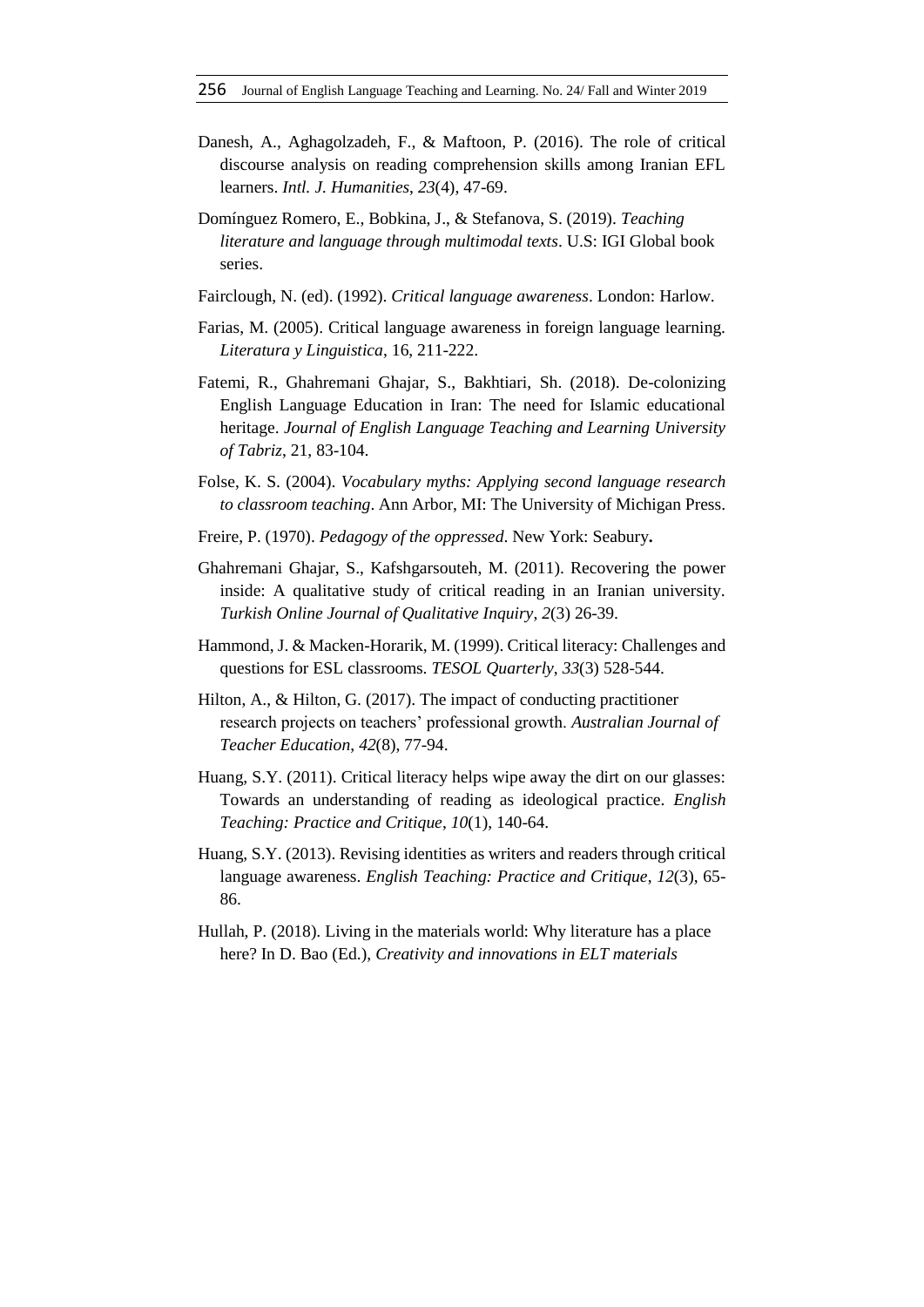- Danesh, A., Aghagolzadeh, F., & Maftoon, P. (2016). The role of critical discourse analysis on reading comprehension skills among Iranian EFL learners. *Intl. J. Humanities*, *23*(4), 47-69.
- Domínguez Romero, E., Bobkina, J., & Stefanova, S. (2019). *Teaching literature and language through multimodal texts*. U.S: IGI Global book series.
- Fairclough, N. (ed). (1992). *Critical language awareness*. London: Harlow.
- Farias, M. (2005). Critical language awareness in foreign language learning. *Literatura y Linguistica*, 16, 211-222.
- Fatemi, R., Ghahremani Ghajar, S., Bakhtiari, Sh. (2018). De-colonizing English Language Education in Iran: The need for Islamic educational heritage. *Journal of English Language Teaching and Learning University of Tabriz*, 21, 83-104.
- Folse, K. S. (2004). *Vocabulary myths: Applying second language research to classroom teaching*. Ann Arbor, MI: The University of Michigan Press.
- Freire, P. (1970). *Pedagogy of the oppressed*. New York: Seabury**.**
- Ghahremani Ghajar, S., Kafshgarsouteh, M. (2011). Recovering the power inside: A qualitative study of critical reading in an Iranian university. *Turkish Online Journal of Qualitative Inquiry*, *2*(3) 26-39.
- Hammond, J. & Macken-Horarik, M. (1999). Critical literacy: Challenges and questions for ESL classrooms. *TESOL Quarterly*, *33*(3) 528-544.
- Hilton, A., & Hilton, G. (2017). The impact of conducting practitioner research projects on teachers' professional growth. *Australian Journal of Teacher Education*, *42*(8), 77-94.
- Huang, S.Y. (2011). Critical literacy helps wipe away the dirt on our glasses: Towards an understanding of reading as ideological practice. *English Teaching: Practice and Critique*, *10*(1), 140-64.
- Huang, S.Y. (2013). Revising identities as writers and readers through critical language awareness. *English Teaching: Practice and Critique*, *12*(3), 65- 86.
- Hullah, P. (2018). Living in the materials world: Why literature has a place here? In D. Bao (Ed.), *Creativity and innovations in ELT materials*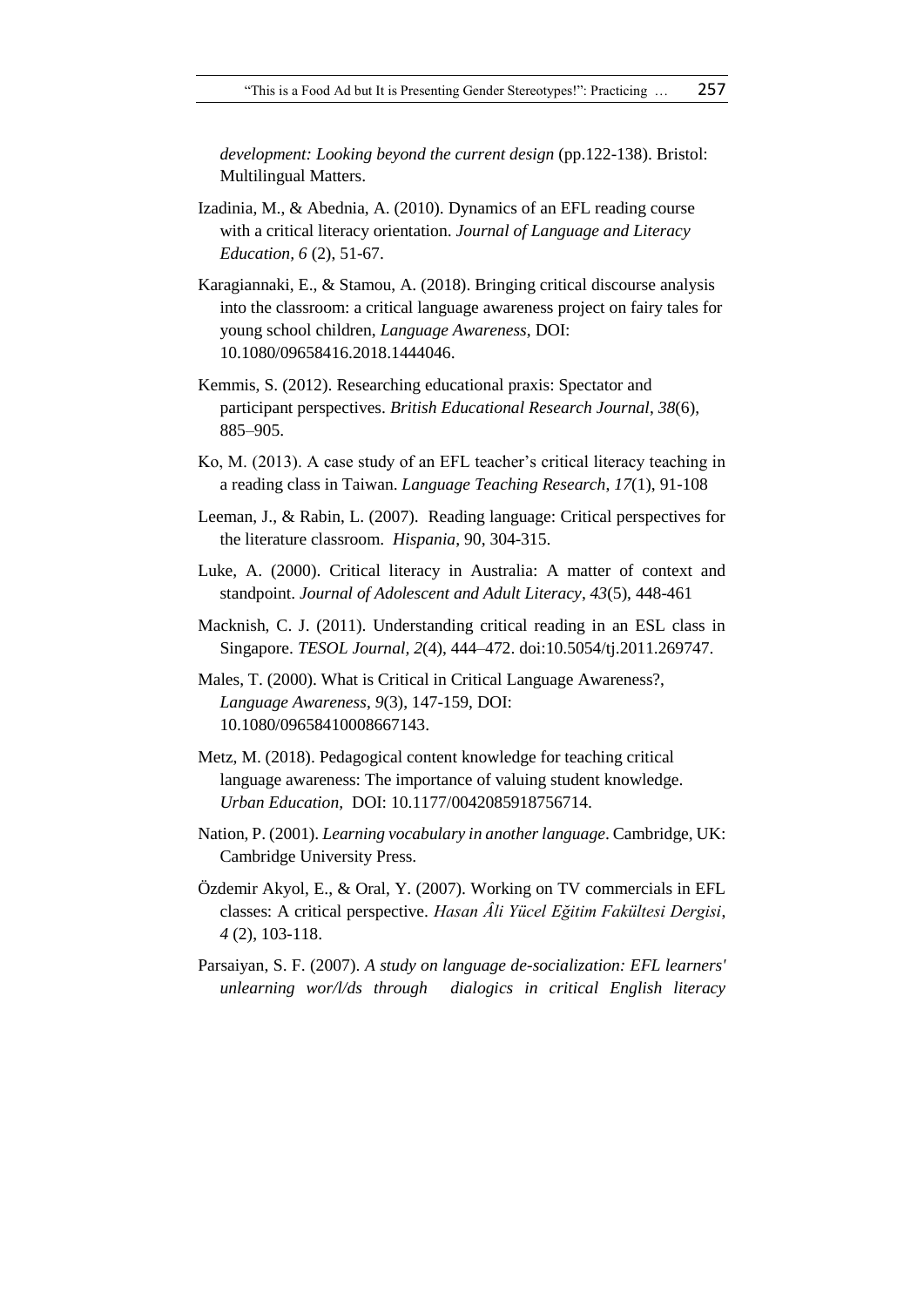*development: Looking beyond the current design* (pp.122-138). Bristol: Multilingual Matters.

- Izadinia, M., & Abednia, A. (2010). Dynamics of an EFL reading course with a critical literacy orientation. *Journal of Language and Literacy Education, 6* (2), 51-67.
- Karagiannaki, E., & Stamou, A. (2018). Bringing critical discourse analysis into the classroom: a critical language awareness project on fairy tales for young school children, *Language Awareness*, DOI: 10.1080/09658416.2018.1444046.
- Kemmis, S. (2012). Researching educational praxis: Spectator and participant perspectives. *British Educational Research Journal*, *38*(6), 885–905.
- Ko, M. (2013). A case study of an EFL teacher's critical literacy teaching in a reading class in Taiwan. *Language Teaching Research*, *17*(1), 91-108
- Leeman, J., & Rabin, L. (2007). Reading language: Critical perspectives for the literature classroom. *Hispania*, 90, 304-315.
- Luke, A. (2000). Critical literacy in Australia: A matter of context and standpoint. *Journal of Adolescent and Adult Literacy*, *43*(5), 448-461
- Macknish, C. J. (2011). Understanding critical reading in an ESL class in Singapore. *TESOL Journal, 2*(4), 444–472. doi:10.5054/tj.2011.269747.
- Males, T. (2000). What is Critical in Critical Language Awareness?, *Language Awareness*, *9*(3), 147-159, DOI: 10.1080/09658410008667143.
- Metz, M. (2018). Pedagogical content knowledge for teaching critical language awareness: The importance of valuing student knowledge. *Urban Education,* DOI: 10.1177/0042085918756714.
- Nation, P. (2001). *Learning vocabulary in another language*. Cambridge, UK: Cambridge University Press.
- Özdemir Akyol, E., & Oral, Y. (2007). Working on TV commercials in EFL classes: A critical perspective. *Hasan Âli Yücel Eğitim Fakültesi Dergisi*, *4* (2), 103-118.
- Parsaiyan, S. F. (2007). *A study on language de-socialization: EFL learners' unlearning wor/l/ds through dialogics in critical English literacy*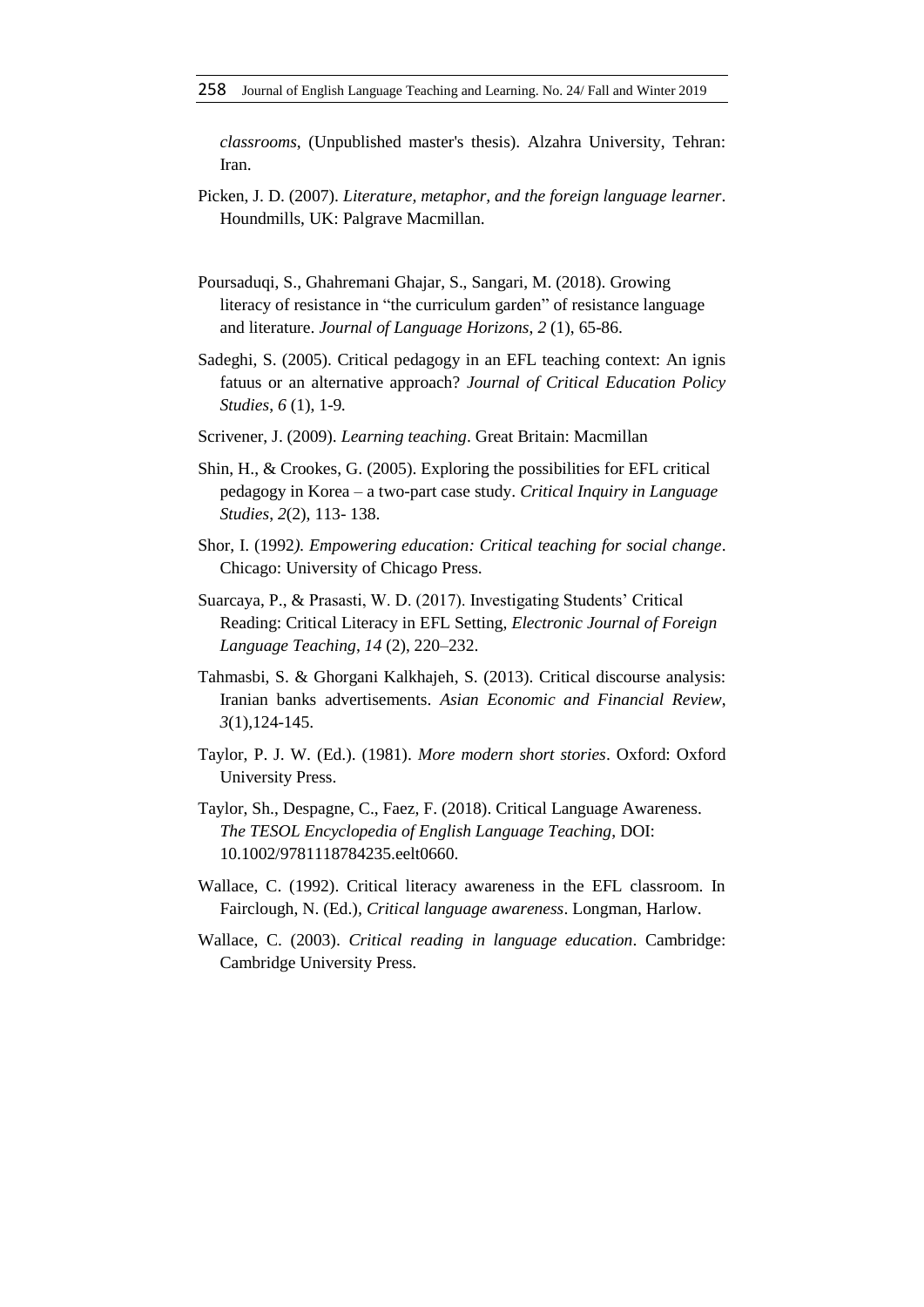*classrooms*, (Unpublished master's thesis). Alzahra University, Tehran: Iran.

- Picken, J. D. (2007). *Literature, metaphor, and the foreign language learner*. Houndmills, UK: Palgrave Macmillan.
- Poursaduqi, S., Ghahremani Ghajar, S., Sangari, M. (2018). Growing literacy of resistance in "the curriculum garden" of resistance language and literature. *Journal of Language Horizons*, *2* (1), 65-86.
- Sadeghi, S. (2005). Critical pedagogy in an EFL teaching context: An ignis fatuus or an alternative approach? *Journal of Critical Education Policy Studies*, *6* (1), 1-9*.*
- Scrivener, J. (2009). *Learning teaching*. Great Britain: Macmillan
- Shin, H., & Crookes, G. (2005). Exploring the possibilities for EFL critical pedagogy in Korea – a two-part case study. *Critical Inquiry in Language Studies*, *2*(2), 113- 138.
- Shor, I. (1992*). Empowering education: Critical teaching for social change*. Chicago: University of Chicago Press.
- Suarcaya, P., & Prasasti, W. D. (2017). Investigating Students' Critical Reading: Critical Literacy in EFL Setting, *Electronic Journal of Foreign Language Teaching*, *14* (2), 220–232.
- Tahmasbi, S. & Ghorgani Kalkhajeh, S. (2013). Critical discourse analysis: Iranian banks advertisements. *Asian Economic and Financial Review*, *3*(1),124-145.
- Taylor, P. J. W. (Ed.). (1981). *More modern short stories*. Oxford: Oxford University Press.
- Taylor, Sh., Despagne, C., Faez, F. (2018). Critical Language Awareness. *The TESOL Encyclopedia of English Language Teaching*, DOI: 10.1002/9781118784235.eelt0660.
- Wallace, C. (1992). Critical literacy awareness in the EFL classroom. In Fairclough, N. (Ed.)*, Critical language awareness*. Longman, Harlow.
- Wallace, C. (2003). *Critical reading in language education*. Cambridge: Cambridge University Press.